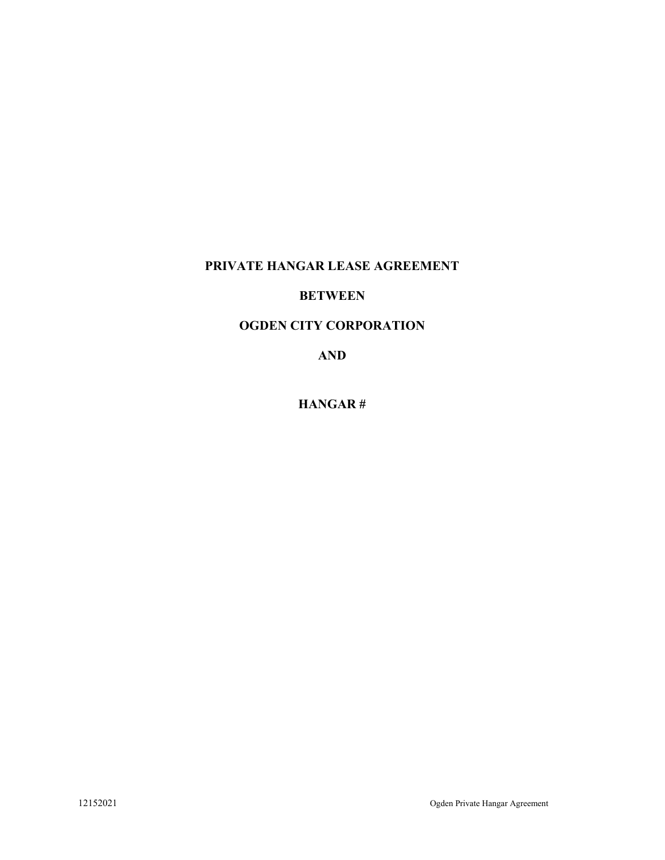# PRIVATE HANGAR LEASE AGREEMENT

# **BETWEEN**

#### OGDEN CITY CORPORATION

AND

HANGAR #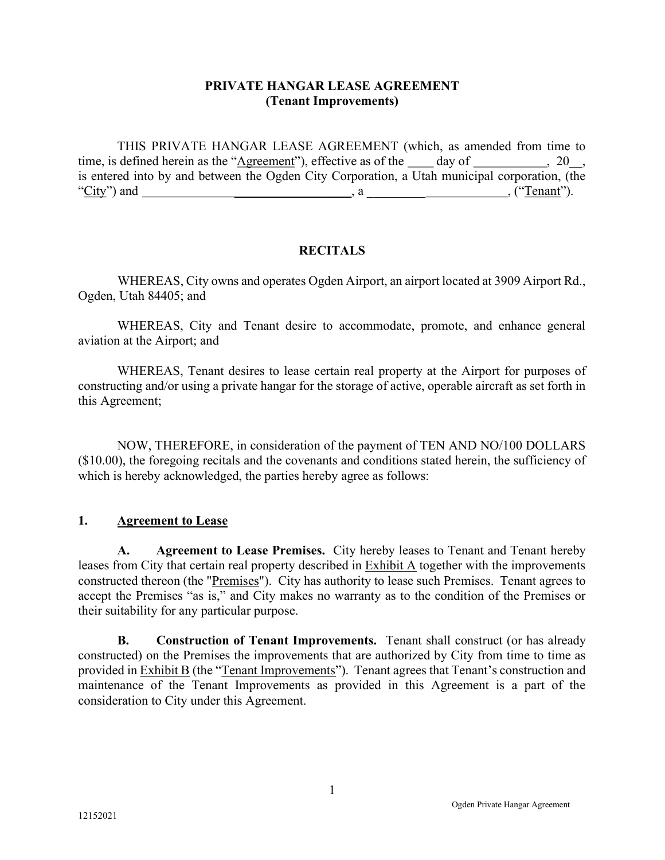#### PRIVATE HANGAR LEASE AGREEMENT (Tenant Improvements)

THIS PRIVATE HANGAR LEASE AGREEMENT (which, as amended from time to time, is defined herein as the "Agreement"), effective as of the  $\_\_\_$  day of  $\_\_\_\_\_$ , 20, , is entered into by and between the Ogden City Corporation, a Utah municipal corporation, (the "City") and \_\_\_\_\_\_\_\_\_\_\_\_\_\_\_\_\_\_, a \_\_\_\_\_\_\_\_\_ , ("Tenant").

## **RECITALS**

WHEREAS, City owns and operates Ogden Airport, an airport located at 3909 Airport Rd., Ogden, Utah 84405; and

 WHEREAS, City and Tenant desire to accommodate, promote, and enhance general aviation at the Airport; and

WHEREAS, Tenant desires to lease certain real property at the Airport for purposes of constructing and/or using a private hangar for the storage of active, operable aircraft as set forth in this Agreement;

NOW, THEREFORE, in consideration of the payment of TEN AND NO/100 DOLLARS (\$10.00), the foregoing recitals and the covenants and conditions stated herein, the sufficiency of which is hereby acknowledged, the parties hereby agree as follows:

#### 1. Agreement to Lease

A. Agreement to Lease Premises. City hereby leases to Tenant and Tenant hereby leases from City that certain real property described in Exhibit A together with the improvements constructed thereon (the "Premises"). City has authority to lease such Premises. Tenant agrees to accept the Premises "as is," and City makes no warranty as to the condition of the Premises or their suitability for any particular purpose.

B. Construction of Tenant Improvements. Tenant shall construct (or has already constructed) on the Premises the improvements that are authorized by City from time to time as provided in Exhibit B (the "Tenant Improvements"). Tenant agrees that Tenant's construction and maintenance of the Tenant Improvements as provided in this Agreement is a part of the consideration to City under this Agreement.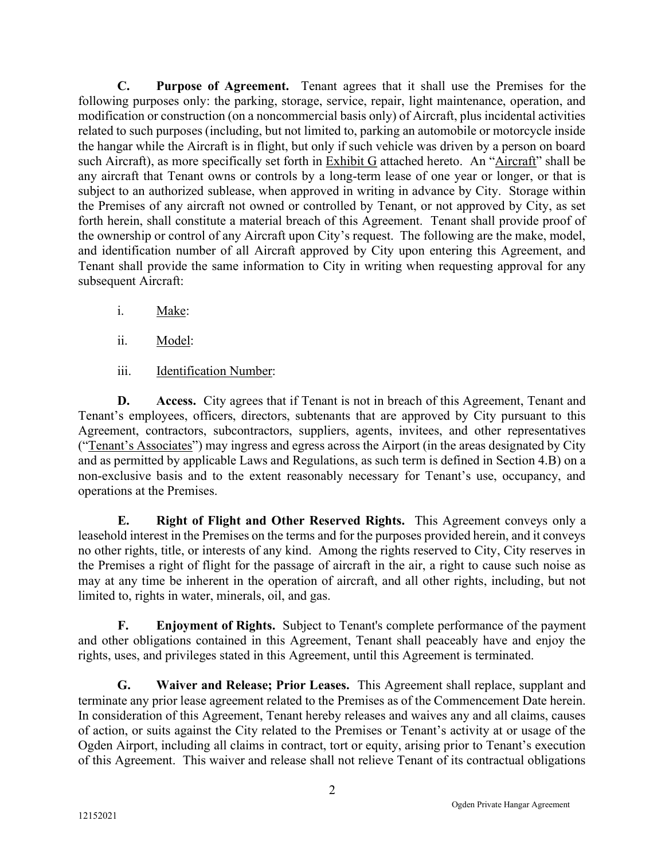C. Purpose of Agreement. Tenant agrees that it shall use the Premises for the following purposes only: the parking, storage, service, repair, light maintenance, operation, and modification or construction (on a noncommercial basis only) of Aircraft, plus incidental activities related to such purposes (including, but not limited to, parking an automobile or motorcycle inside the hangar while the Aircraft is in flight, but only if such vehicle was driven by a person on board such Aircraft), as more specifically set forth in Exhibit G attached hereto. An "Aircraft" shall be any aircraft that Tenant owns or controls by a long-term lease of one year or longer, or that is subject to an authorized sublease, when approved in writing in advance by City. Storage within the Premises of any aircraft not owned or controlled by Tenant, or not approved by City, as set forth herein, shall constitute a material breach of this Agreement. Tenant shall provide proof of the ownership or control of any Aircraft upon City's request. The following are the make, model, and identification number of all Aircraft approved by City upon entering this Agreement, and Tenant shall provide the same information to City in writing when requesting approval for any subsequent Aircraft:

- i. Make:
- ii. Model:
- iii. Identification Number:

D. Access. City agrees that if Tenant is not in breach of this Agreement, Tenant and Tenant's employees, officers, directors, subtenants that are approved by City pursuant to this Agreement, contractors, subcontractors, suppliers, agents, invitees, and other representatives ("Tenant's Associates") may ingress and egress across the Airport (in the areas designated by City and as permitted by applicable Laws and Regulations, as such term is defined in Section 4.B) on a non-exclusive basis and to the extent reasonably necessary for Tenant's use, occupancy, and operations at the Premises.

E. Right of Flight and Other Reserved Rights. This Agreement conveys only a leasehold interest in the Premises on the terms and for the purposes provided herein, and it conveys no other rights, title, or interests of any kind. Among the rights reserved to City, City reserves in the Premises a right of flight for the passage of aircraft in the air, a right to cause such noise as may at any time be inherent in the operation of aircraft, and all other rights, including, but not limited to, rights in water, minerals, oil, and gas.

F. Enjoyment of Rights. Subject to Tenant's complete performance of the payment and other obligations contained in this Agreement, Tenant shall peaceably have and enjoy the rights, uses, and privileges stated in this Agreement, until this Agreement is terminated.

 G. Waiver and Release; Prior Leases. This Agreement shall replace, supplant and terminate any prior lease agreement related to the Premises as of the Commencement Date herein. In consideration of this Agreement, Tenant hereby releases and waives any and all claims, causes of action, or suits against the City related to the Premises or Tenant's activity at or usage of the Ogden Airport, including all claims in contract, tort or equity, arising prior to Tenant's execution of this Agreement. This waiver and release shall not relieve Tenant of its contractual obligations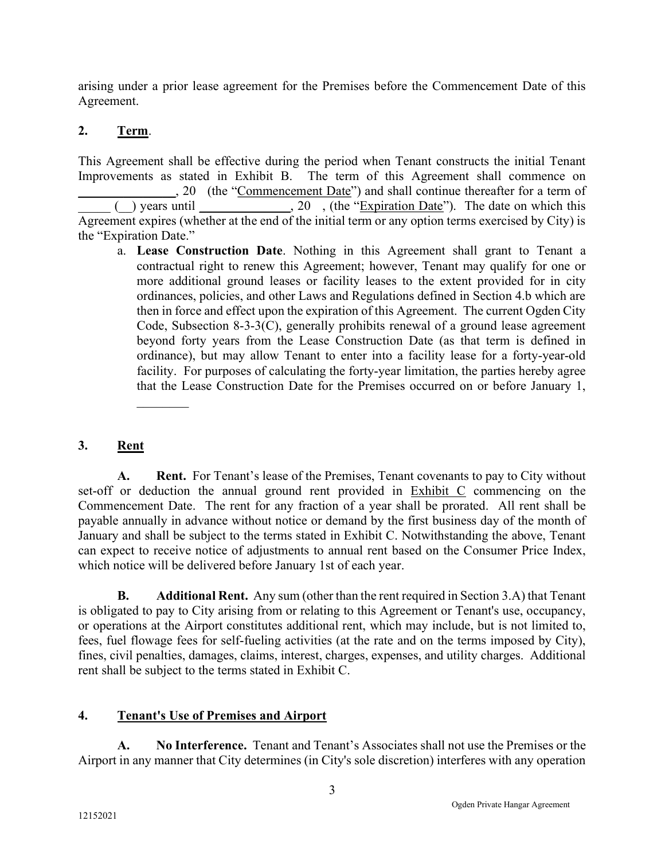arising under a prior lease agreement for the Premises before the Commencement Date of this Agreement.

## 2. Term.

This Agreement shall be effective during the period when Tenant constructs the initial Tenant Improvements as stated in Exhibit B. The term of this Agreement shall commence on \_\_\_\_\_\_\_\_\_\_\_\_\_\_\_, 20 (the "Commencement Date") and shall continue thereafter for a term of  $($  ) years until  $($ , 20 , (the "Expiration Date"). The date on which this Agreement expires (whether at the end of the initial term or any option terms exercised by City) is the "Expiration Date."

a. Lease Construction Date. Nothing in this Agreement shall grant to Tenant a contractual right to renew this Agreement; however, Tenant may qualify for one or more additional ground leases or facility leases to the extent provided for in city ordinances, policies, and other Laws and Regulations defined in Section 4.b which are then in force and effect upon the expiration of this Agreement. The current Ogden City Code, Subsection 8-3-3(C), generally prohibits renewal of a ground lease agreement beyond forty years from the Lease Construction Date (as that term is defined in ordinance), but may allow Tenant to enter into a facility lease for a forty-year-old facility. For purposes of calculating the forty-year limitation, the parties hereby agree that the Lease Construction Date for the Premises occurred on or before January 1,

## 3. Rent

A. Rent. For Tenant's lease of the Premises, Tenant covenants to pay to City without set-off or deduction the annual ground rent provided in Exhibit C commencing on the Commencement Date. The rent for any fraction of a year shall be prorated. All rent shall be payable annually in advance without notice or demand by the first business day of the month of January and shall be subject to the terms stated in Exhibit C. Notwithstanding the above, Tenant can expect to receive notice of adjustments to annual rent based on the Consumer Price Index, which notice will be delivered before January 1st of each year.

B. Additional Rent. Any sum (other than the rent required in Section 3.A) that Tenant is obligated to pay to City arising from or relating to this Agreement or Tenant's use, occupancy, or operations at the Airport constitutes additional rent, which may include, but is not limited to, fees, fuel flowage fees for self-fueling activities (at the rate and on the terms imposed by City), fines, civil penalties, damages, claims, interest, charges, expenses, and utility charges. Additional rent shall be subject to the terms stated in Exhibit C.

# 4. Tenant's Use of Premises and Airport

A. No Interference. Tenant and Tenant's Associates shall not use the Premises or the Airport in any manner that City determines (in City's sole discretion) interferes with any operation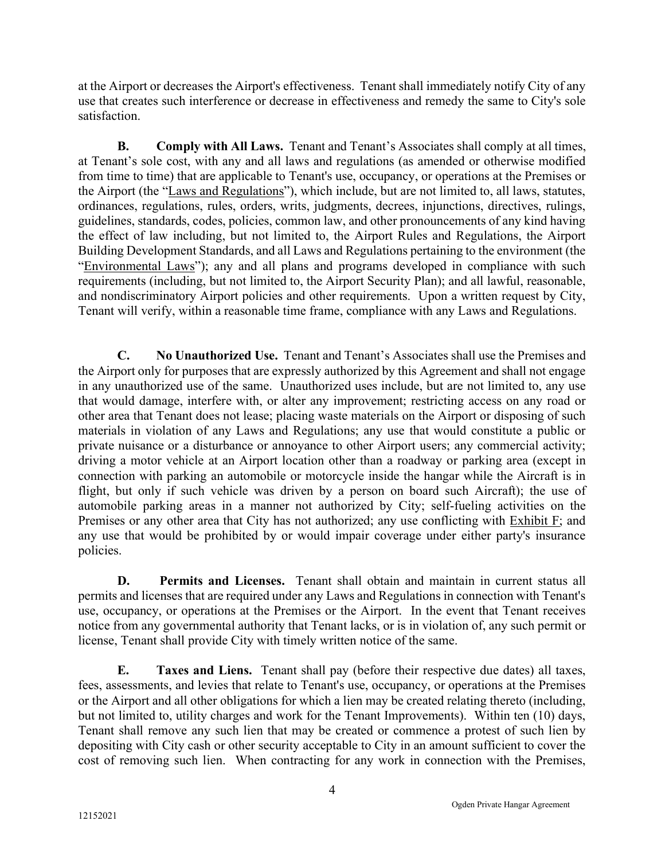at the Airport or decreases the Airport's effectiveness. Tenant shall immediately notify City of any use that creates such interference or decrease in effectiveness and remedy the same to City's sole satisfaction.

B. Comply with All Laws. Tenant and Tenant's Associates shall comply at all times, at Tenant's sole cost, with any and all laws and regulations (as amended or otherwise modified from time to time) that are applicable to Tenant's use, occupancy, or operations at the Premises or the Airport (the "Laws and Regulations"), which include, but are not limited to, all laws, statutes, ordinances, regulations, rules, orders, writs, judgments, decrees, injunctions, directives, rulings, guidelines, standards, codes, policies, common law, and other pronouncements of any kind having the effect of law including, but not limited to, the Airport Rules and Regulations, the Airport Building Development Standards, and all Laws and Regulations pertaining to the environment (the "Environmental Laws"); any and all plans and programs developed in compliance with such requirements (including, but not limited to, the Airport Security Plan); and all lawful, reasonable, and nondiscriminatory Airport policies and other requirements. Upon a written request by City, Tenant will verify, within a reasonable time frame, compliance with any Laws and Regulations.

C. No Unauthorized Use. Tenant and Tenant's Associates shall use the Premises and the Airport only for purposes that are expressly authorized by this Agreement and shall not engage in any unauthorized use of the same. Unauthorized uses include, but are not limited to, any use that would damage, interfere with, or alter any improvement; restricting access on any road or other area that Tenant does not lease; placing waste materials on the Airport or disposing of such materials in violation of any Laws and Regulations; any use that would constitute a public or private nuisance or a disturbance or annoyance to other Airport users; any commercial activity; driving a motor vehicle at an Airport location other than a roadway or parking area (except in connection with parking an automobile or motorcycle inside the hangar while the Aircraft is in flight, but only if such vehicle was driven by a person on board such Aircraft); the use of automobile parking areas in a manner not authorized by City; self-fueling activities on the Premises or any other area that City has not authorized; any use conflicting with Exhibit F; and any use that would be prohibited by or would impair coverage under either party's insurance policies.

D. Permits and Licenses. Tenant shall obtain and maintain in current status all permits and licenses that are required under any Laws and Regulations in connection with Tenant's use, occupancy, or operations at the Premises or the Airport. In the event that Tenant receives notice from any governmental authority that Tenant lacks, or is in violation of, any such permit or license, Tenant shall provide City with timely written notice of the same.

E. Taxes and Liens. Tenant shall pay (before their respective due dates) all taxes, fees, assessments, and levies that relate to Tenant's use, occupancy, or operations at the Premises or the Airport and all other obligations for which a lien may be created relating thereto (including, but not limited to, utility charges and work for the Tenant Improvements). Within ten (10) days, Tenant shall remove any such lien that may be created or commence a protest of such lien by depositing with City cash or other security acceptable to City in an amount sufficient to cover the cost of removing such lien. When contracting for any work in connection with the Premises,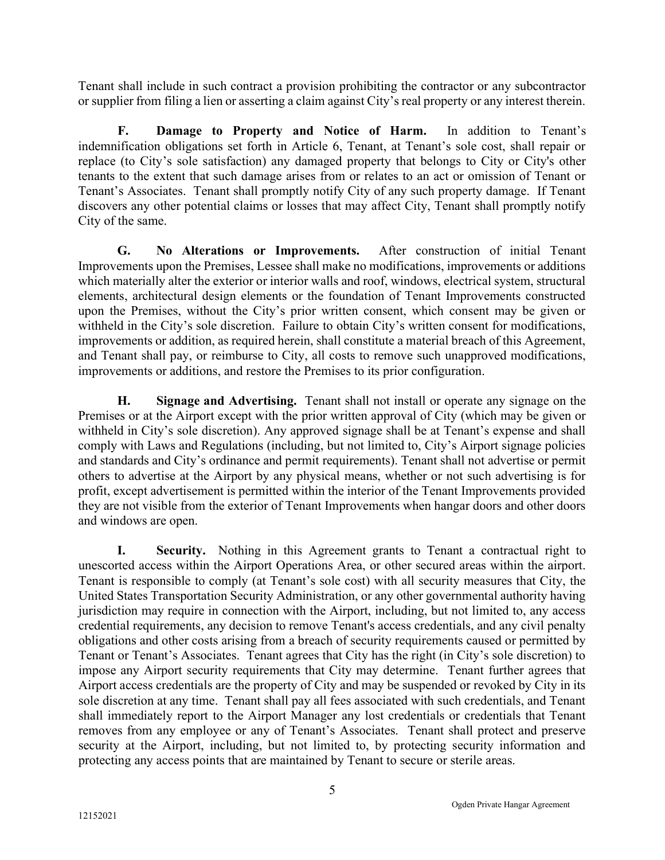Tenant shall include in such contract a provision prohibiting the contractor or any subcontractor or supplier from filing a lien or asserting a claim against City's real property or any interest therein.

F. Damage to Property and Notice of Harm. In addition to Tenant's indemnification obligations set forth in Article 6, Tenant, at Tenant's sole cost, shall repair or replace (to City's sole satisfaction) any damaged property that belongs to City or City's other tenants to the extent that such damage arises from or relates to an act or omission of Tenant or Tenant's Associates. Tenant shall promptly notify City of any such property damage. If Tenant discovers any other potential claims or losses that may affect City, Tenant shall promptly notify City of the same.

G. No Alterations or Improvements. After construction of initial Tenant Improvements upon the Premises, Lessee shall make no modifications, improvements or additions which materially alter the exterior or interior walls and roof, windows, electrical system, structural elements, architectural design elements or the foundation of Tenant Improvements constructed upon the Premises, without the City's prior written consent, which consent may be given or withheld in the City's sole discretion. Failure to obtain City's written consent for modifications, improvements or addition, as required herein, shall constitute a material breach of this Agreement, and Tenant shall pay, or reimburse to City, all costs to remove such unapproved modifications, improvements or additions, and restore the Premises to its prior configuration.

H. Signage and Advertising. Tenant shall not install or operate any signage on the Premises or at the Airport except with the prior written approval of City (which may be given or withheld in City's sole discretion). Any approved signage shall be at Tenant's expense and shall comply with Laws and Regulations (including, but not limited to, City's Airport signage policies and standards and City's ordinance and permit requirements). Tenant shall not advertise or permit others to advertise at the Airport by any physical means, whether or not such advertising is for profit, except advertisement is permitted within the interior of the Tenant Improvements provided they are not visible from the exterior of Tenant Improvements when hangar doors and other doors and windows are open.

I. Security. Nothing in this Agreement grants to Tenant a contractual right to unescorted access within the Airport Operations Area, or other secured areas within the airport. Tenant is responsible to comply (at Tenant's sole cost) with all security measures that City, the United States Transportation Security Administration, or any other governmental authority having jurisdiction may require in connection with the Airport, including, but not limited to, any access credential requirements, any decision to remove Tenant's access credentials, and any civil penalty obligations and other costs arising from a breach of security requirements caused or permitted by Tenant or Tenant's Associates. Tenant agrees that City has the right (in City's sole discretion) to impose any Airport security requirements that City may determine. Tenant further agrees that Airport access credentials are the property of City and may be suspended or revoked by City in its sole discretion at any time. Tenant shall pay all fees associated with such credentials, and Tenant shall immediately report to the Airport Manager any lost credentials or credentials that Tenant removes from any employee or any of Tenant's Associates. Tenant shall protect and preserve security at the Airport, including, but not limited to, by protecting security information and protecting any access points that are maintained by Tenant to secure or sterile areas.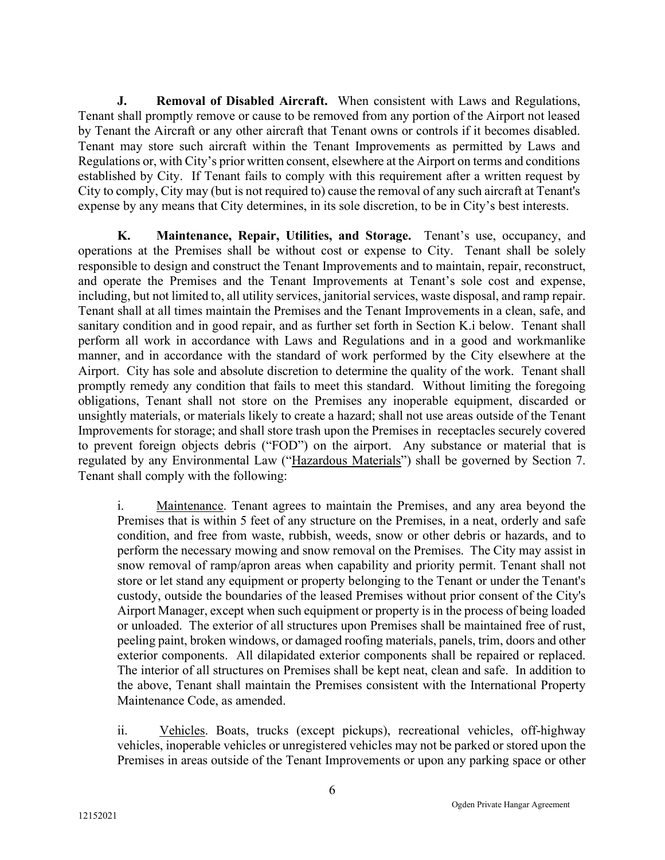**J.** Removal of Disabled Aircraft. When consistent with Laws and Regulations, Tenant shall promptly remove or cause to be removed from any portion of the Airport not leased by Tenant the Aircraft or any other aircraft that Tenant owns or controls if it becomes disabled. Tenant may store such aircraft within the Tenant Improvements as permitted by Laws and Regulations or, with City's prior written consent, elsewhere at the Airport on terms and conditions established by City. If Tenant fails to comply with this requirement after a written request by City to comply, City may (but is not required to) cause the removal of any such aircraft at Tenant's expense by any means that City determines, in its sole discretion, to be in City's best interests.

K. Maintenance, Repair, Utilities, and Storage. Tenant's use, occupancy, and operations at the Premises shall be without cost or expense to City. Tenant shall be solely responsible to design and construct the Tenant Improvements and to maintain, repair, reconstruct, and operate the Premises and the Tenant Improvements at Tenant's sole cost and expense, including, but not limited to, all utility services, janitorial services, waste disposal, and ramp repair. Tenant shall at all times maintain the Premises and the Tenant Improvements in a clean, safe, and sanitary condition and in good repair, and as further set forth in Section K.i below. Tenant shall perform all work in accordance with Laws and Regulations and in a good and workmanlike manner, and in accordance with the standard of work performed by the City elsewhere at the Airport. City has sole and absolute discretion to determine the quality of the work. Tenant shall promptly remedy any condition that fails to meet this standard. Without limiting the foregoing obligations, Tenant shall not store on the Premises any inoperable equipment, discarded or unsightly materials, or materials likely to create a hazard; shall not use areas outside of the Tenant Improvements for storage; and shall store trash upon the Premises in receptacles securely covered to prevent foreign objects debris ("FOD") on the airport. Any substance or material that is regulated by any Environmental Law ("Hazardous Materials") shall be governed by Section 7. Tenant shall comply with the following:

i. Maintenance. Tenant agrees to maintain the Premises, and any area beyond the Premises that is within 5 feet of any structure on the Premises, in a neat, orderly and safe condition, and free from waste, rubbish, weeds, snow or other debris or hazards, and to perform the necessary mowing and snow removal on the Premises. The City may assist in snow removal of ramp/apron areas when capability and priority permit. Tenant shall not store or let stand any equipment or property belonging to the Tenant or under the Tenant's custody, outside the boundaries of the leased Premises without prior consent of the City's Airport Manager, except when such equipment or property is in the process of being loaded or unloaded. The exterior of all structures upon Premises shall be maintained free of rust, peeling paint, broken windows, or damaged roofing materials, panels, trim, doors and other exterior components. All dilapidated exterior components shall be repaired or replaced. The interior of all structures on Premises shall be kept neat, clean and safe. In addition to the above, Tenant shall maintain the Premises consistent with the International Property Maintenance Code, as amended.

ii. Vehicles. Boats, trucks (except pickups), recreational vehicles, off-highway vehicles, inoperable vehicles or unregistered vehicles may not be parked or stored upon the Premises in areas outside of the Tenant Improvements or upon any parking space or other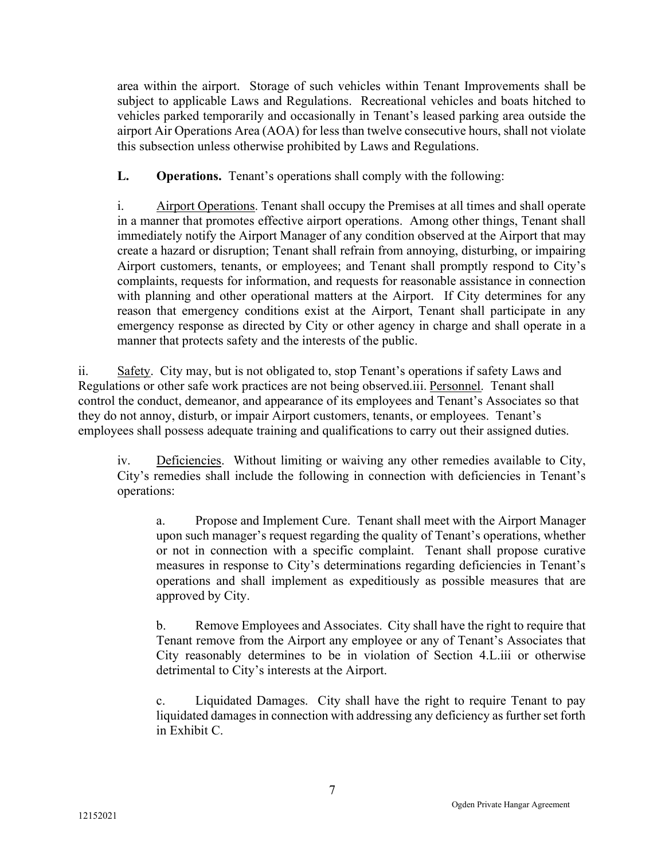area within the airport. Storage of such vehicles within Tenant Improvements shall be subject to applicable Laws and Regulations. Recreational vehicles and boats hitched to vehicles parked temporarily and occasionally in Tenant's leased parking area outside the airport Air Operations Area (AOA) for less than twelve consecutive hours, shall not violate this subsection unless otherwise prohibited by Laws and Regulations.

L. Operations. Tenant's operations shall comply with the following:

i. Airport Operations. Tenant shall occupy the Premises at all times and shall operate in a manner that promotes effective airport operations. Among other things, Tenant shall immediately notify the Airport Manager of any condition observed at the Airport that may create a hazard or disruption; Tenant shall refrain from annoying, disturbing, or impairing Airport customers, tenants, or employees; and Tenant shall promptly respond to City's complaints, requests for information, and requests for reasonable assistance in connection with planning and other operational matters at the Airport. If City determines for any reason that emergency conditions exist at the Airport, Tenant shall participate in any emergency response as directed by City or other agency in charge and shall operate in a manner that protects safety and the interests of the public.

ii. Safety. City may, but is not obligated to, stop Tenant's operations if safety Laws and Regulations or other safe work practices are not being observed.iii. Personnel. Tenant shall control the conduct, demeanor, and appearance of its employees and Tenant's Associates so that they do not annoy, disturb, or impair Airport customers, tenants, or employees. Tenant's employees shall possess adequate training and qualifications to carry out their assigned duties.

iv. Deficiencies. Without limiting or waiving any other remedies available to City, City's remedies shall include the following in connection with deficiencies in Tenant's operations:

a. Propose and Implement Cure. Tenant shall meet with the Airport Manager upon such manager's request regarding the quality of Tenant's operations, whether or not in connection with a specific complaint. Tenant shall propose curative measures in response to City's determinations regarding deficiencies in Tenant's operations and shall implement as expeditiously as possible measures that are approved by City.

b. Remove Employees and Associates. City shall have the right to require that Tenant remove from the Airport any employee or any of Tenant's Associates that City reasonably determines to be in violation of Section 4.L.iii or otherwise detrimental to City's interests at the Airport.

c. Liquidated Damages. City shall have the right to require Tenant to pay liquidated damages in connection with addressing any deficiency as further set forth in Exhibit C.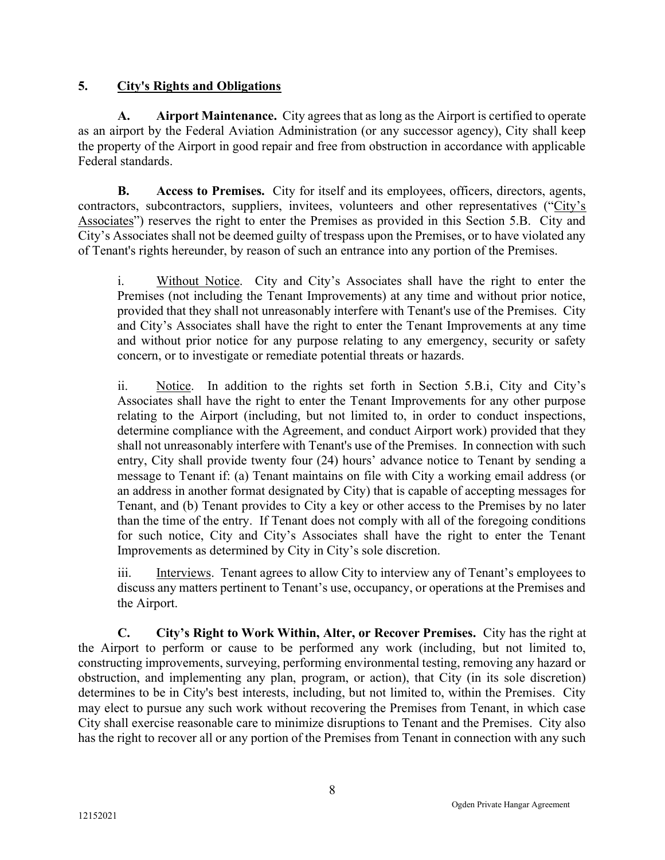## 5. City's Rights and Obligations

A. Airport Maintenance. City agrees that as long as the Airport is certified to operate as an airport by the Federal Aviation Administration (or any successor agency), City shall keep the property of the Airport in good repair and free from obstruction in accordance with applicable Federal standards.

B. Access to Premises. City for itself and its employees, officers, directors, agents, contractors, subcontractors, suppliers, invitees, volunteers and other representatives ("City's Associates") reserves the right to enter the Premises as provided in this Section 5.B. City and City's Associates shall not be deemed guilty of trespass upon the Premises, or to have violated any of Tenant's rights hereunder, by reason of such an entrance into any portion of the Premises.

i. Without Notice. City and City's Associates shall have the right to enter the Premises (not including the Tenant Improvements) at any time and without prior notice, provided that they shall not unreasonably interfere with Tenant's use of the Premises. City and City's Associates shall have the right to enter the Tenant Improvements at any time and without prior notice for any purpose relating to any emergency, security or safety concern, or to investigate or remediate potential threats or hazards.

ii. Notice. In addition to the rights set forth in Section 5.B.i, City and City's Associates shall have the right to enter the Tenant Improvements for any other purpose relating to the Airport (including, but not limited to, in order to conduct inspections, determine compliance with the Agreement, and conduct Airport work) provided that they shall not unreasonably interfere with Tenant's use of the Premises. In connection with such entry, City shall provide twenty four (24) hours' advance notice to Tenant by sending a message to Tenant if: (a) Tenant maintains on file with City a working email address (or an address in another format designated by City) that is capable of accepting messages for Tenant, and (b) Tenant provides to City a key or other access to the Premises by no later than the time of the entry. If Tenant does not comply with all of the foregoing conditions for such notice, City and City's Associates shall have the right to enter the Tenant Improvements as determined by City in City's sole discretion.

iii. Interviews. Tenant agrees to allow City to interview any of Tenant's employees to discuss any matters pertinent to Tenant's use, occupancy, or operations at the Premises and the Airport.

C. City's Right to Work Within, Alter, or Recover Premises. City has the right at the Airport to perform or cause to be performed any work (including, but not limited to, constructing improvements, surveying, performing environmental testing, removing any hazard or obstruction, and implementing any plan, program, or action), that City (in its sole discretion) determines to be in City's best interests, including, but not limited to, within the Premises. City may elect to pursue any such work without recovering the Premises from Tenant, in which case City shall exercise reasonable care to minimize disruptions to Tenant and the Premises. City also has the right to recover all or any portion of the Premises from Tenant in connection with any such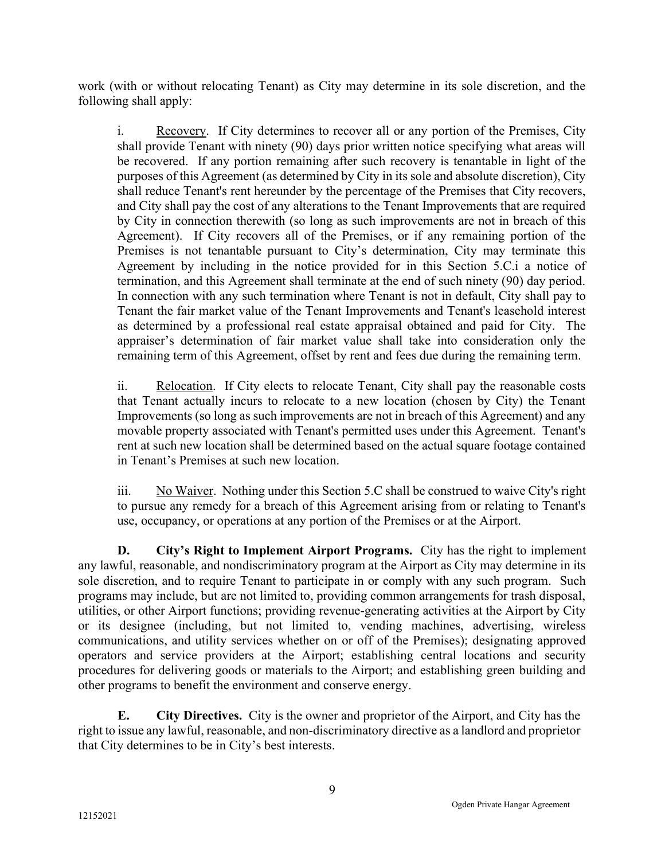work (with or without relocating Tenant) as City may determine in its sole discretion, and the following shall apply:

i. Recovery. If City determines to recover all or any portion of the Premises, City shall provide Tenant with ninety (90) days prior written notice specifying what areas will be recovered. If any portion remaining after such recovery is tenantable in light of the purposes of this Agreement (as determined by City in its sole and absolute discretion), City shall reduce Tenant's rent hereunder by the percentage of the Premises that City recovers, and City shall pay the cost of any alterations to the Tenant Improvements that are required by City in connection therewith (so long as such improvements are not in breach of this Agreement). If City recovers all of the Premises, or if any remaining portion of the Premises is not tenantable pursuant to City's determination, City may terminate this Agreement by including in the notice provided for in this Section 5.C.i a notice of termination, and this Agreement shall terminate at the end of such ninety (90) day period. In connection with any such termination where Tenant is not in default, City shall pay to Tenant the fair market value of the Tenant Improvements and Tenant's leasehold interest as determined by a professional real estate appraisal obtained and paid for City. The appraiser's determination of fair market value shall take into consideration only the remaining term of this Agreement, offset by rent and fees due during the remaining term.

ii. Relocation. If City elects to relocate Tenant, City shall pay the reasonable costs that Tenant actually incurs to relocate to a new location (chosen by City) the Tenant Improvements (so long as such improvements are not in breach of this Agreement) and any movable property associated with Tenant's permitted uses under this Agreement. Tenant's rent at such new location shall be determined based on the actual square footage contained in Tenant's Premises at such new location.

iii. No Waiver. Nothing under this Section 5.C shall be construed to waive City's right to pursue any remedy for a breach of this Agreement arising from or relating to Tenant's use, occupancy, or operations at any portion of the Premises or at the Airport.

D. City's Right to Implement Airport Programs. City has the right to implement any lawful, reasonable, and nondiscriminatory program at the Airport as City may determine in its sole discretion, and to require Tenant to participate in or comply with any such program. Such programs may include, but are not limited to, providing common arrangements for trash disposal, utilities, or other Airport functions; providing revenue-generating activities at the Airport by City or its designee (including, but not limited to, vending machines, advertising, wireless communications, and utility services whether on or off of the Premises); designating approved operators and service providers at the Airport; establishing central locations and security procedures for delivering goods or materials to the Airport; and establishing green building and other programs to benefit the environment and conserve energy.

E. City Directives. City is the owner and proprietor of the Airport, and City has the right to issue any lawful, reasonable, and non-discriminatory directive as a landlord and proprietor that City determines to be in City's best interests.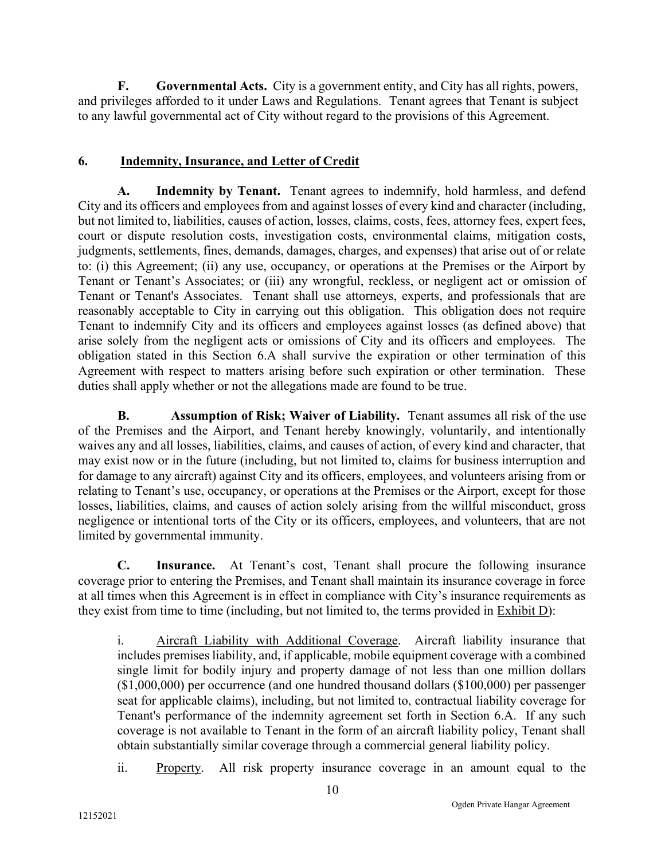F. Governmental Acts. City is a government entity, and City has all rights, powers, and privileges afforded to it under Laws and Regulations. Tenant agrees that Tenant is subject to any lawful governmental act of City without regard to the provisions of this Agreement.

## 6. Indemnity, Insurance, and Letter of Credit

A. Indemnity by Tenant. Tenant agrees to indemnify, hold harmless, and defend City and its officers and employees from and against losses of every kind and character (including, but not limited to, liabilities, causes of action, losses, claims, costs, fees, attorney fees, expert fees, court or dispute resolution costs, investigation costs, environmental claims, mitigation costs, judgments, settlements, fines, demands, damages, charges, and expenses) that arise out of or relate to: (i) this Agreement; (ii) any use, occupancy, or operations at the Premises or the Airport by Tenant or Tenant's Associates; or (iii) any wrongful, reckless, or negligent act or omission of Tenant or Tenant's Associates. Tenant shall use attorneys, experts, and professionals that are reasonably acceptable to City in carrying out this obligation. This obligation does not require Tenant to indemnify City and its officers and employees against losses (as defined above) that arise solely from the negligent acts or omissions of City and its officers and employees. The obligation stated in this Section 6.A shall survive the expiration or other termination of this Agreement with respect to matters arising before such expiration or other termination. These duties shall apply whether or not the allegations made are found to be true.

B. Assumption of Risk; Waiver of Liability. Tenant assumes all risk of the use of the Premises and the Airport, and Tenant hereby knowingly, voluntarily, and intentionally waives any and all losses, liabilities, claims, and causes of action, of every kind and character, that may exist now or in the future (including, but not limited to, claims for business interruption and for damage to any aircraft) against City and its officers, employees, and volunteers arising from or relating to Tenant's use, occupancy, or operations at the Premises or the Airport, except for those losses, liabilities, claims, and causes of action solely arising from the willful misconduct, gross negligence or intentional torts of the City or its officers, employees, and volunteers, that are not limited by governmental immunity.

C. Insurance. At Tenant's cost, Tenant shall procure the following insurance coverage prior to entering the Premises, and Tenant shall maintain its insurance coverage in force at all times when this Agreement is in effect in compliance with City's insurance requirements as they exist from time to time (including, but not limited to, the terms provided in Exhibit D):

i. Aircraft Liability with Additional Coverage. Aircraft liability insurance that includes premises liability, and, if applicable, mobile equipment coverage with a combined single limit for bodily injury and property damage of not less than one million dollars (\$1,000,000) per occurrence (and one hundred thousand dollars (\$100,000) per passenger seat for applicable claims), including, but not limited to, contractual liability coverage for Tenant's performance of the indemnity agreement set forth in Section 6.A. If any such coverage is not available to Tenant in the form of an aircraft liability policy, Tenant shall obtain substantially similar coverage through a commercial general liability policy.

ii. Property. All risk property insurance coverage in an amount equal to the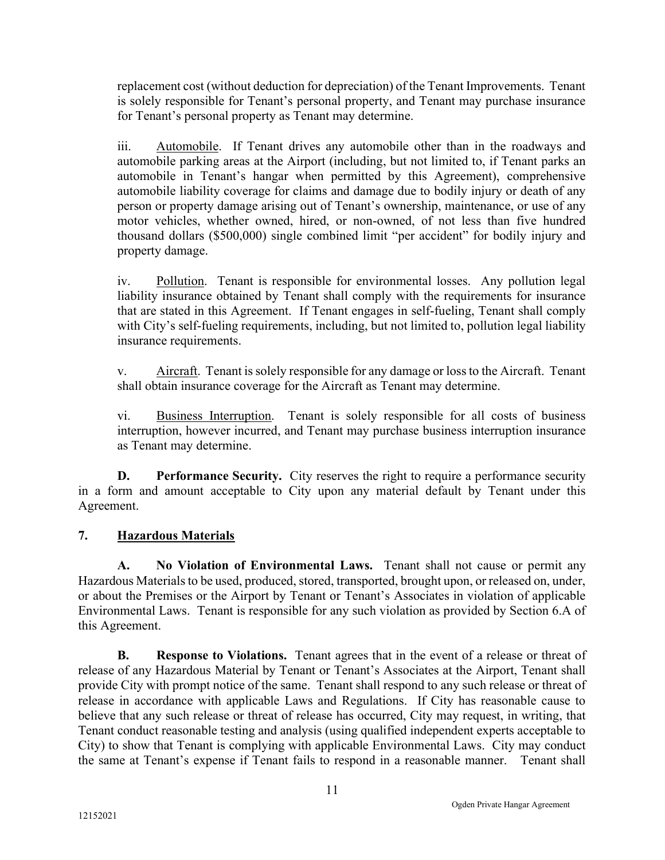replacement cost (without deduction for depreciation) of the Tenant Improvements. Tenant is solely responsible for Tenant's personal property, and Tenant may purchase insurance for Tenant's personal property as Tenant may determine.

iii. Automobile. If Tenant drives any automobile other than in the roadways and automobile parking areas at the Airport (including, but not limited to, if Tenant parks an automobile in Tenant's hangar when permitted by this Agreement), comprehensive automobile liability coverage for claims and damage due to bodily injury or death of any person or property damage arising out of Tenant's ownership, maintenance, or use of any motor vehicles, whether owned, hired, or non-owned, of not less than five hundred thousand dollars (\$500,000) single combined limit "per accident" for bodily injury and property damage.

iv. Pollution. Tenant is responsible for environmental losses. Any pollution legal liability insurance obtained by Tenant shall comply with the requirements for insurance that are stated in this Agreement. If Tenant engages in self-fueling, Tenant shall comply with City's self-fueling requirements, including, but not limited to, pollution legal liability insurance requirements.

v. Aircraft. Tenant is solely responsible for any damage or loss to the Aircraft. Tenant shall obtain insurance coverage for the Aircraft as Tenant may determine.

vi. Business Interruption. Tenant is solely responsible for all costs of business interruption, however incurred, and Tenant may purchase business interruption insurance as Tenant may determine.

**D.** Performance Security. City reserves the right to require a performance security in a form and amount acceptable to City upon any material default by Tenant under this Agreement.

# 7. Hazardous Materials

A. No Violation of Environmental Laws. Tenant shall not cause or permit any Hazardous Materials to be used, produced, stored, transported, brought upon, or released on, under, or about the Premises or the Airport by Tenant or Tenant's Associates in violation of applicable Environmental Laws. Tenant is responsible for any such violation as provided by Section 6.A of this Agreement.

B. Response to Violations. Tenant agrees that in the event of a release or threat of release of any Hazardous Material by Tenant or Tenant's Associates at the Airport, Tenant shall provide City with prompt notice of the same. Tenant shall respond to any such release or threat of release in accordance with applicable Laws and Regulations. If City has reasonable cause to believe that any such release or threat of release has occurred, City may request, in writing, that Tenant conduct reasonable testing and analysis (using qualified independent experts acceptable to City) to show that Tenant is complying with applicable Environmental Laws. City may conduct the same at Tenant's expense if Tenant fails to respond in a reasonable manner. Tenant shall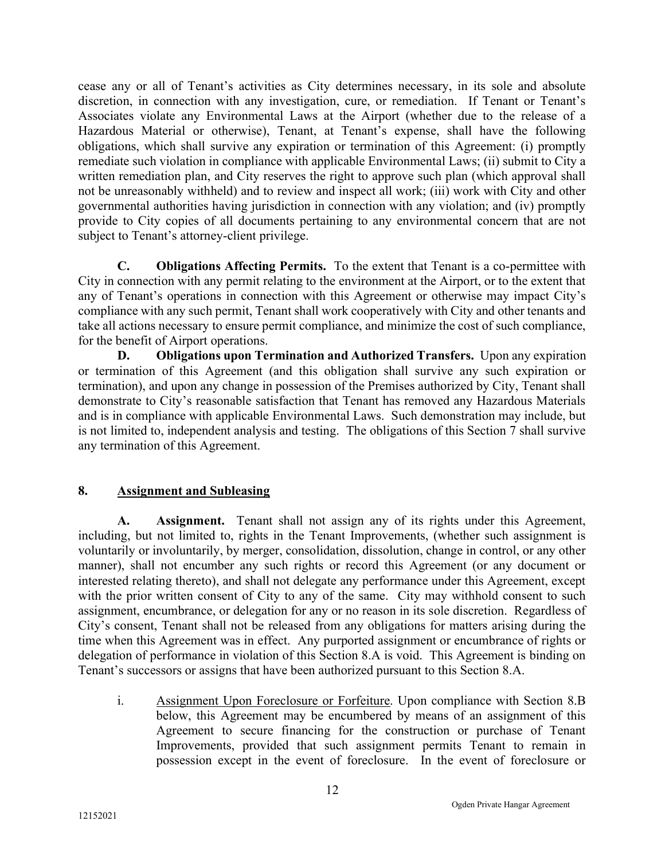cease any or all of Tenant's activities as City determines necessary, in its sole and absolute discretion, in connection with any investigation, cure, or remediation. If Tenant or Tenant's Associates violate any Environmental Laws at the Airport (whether due to the release of a Hazardous Material or otherwise), Tenant, at Tenant's expense, shall have the following obligations, which shall survive any expiration or termination of this Agreement: (i) promptly remediate such violation in compliance with applicable Environmental Laws; (ii) submit to City a written remediation plan, and City reserves the right to approve such plan (which approval shall not be unreasonably withheld) and to review and inspect all work; (iii) work with City and other governmental authorities having jurisdiction in connection with any violation; and (iv) promptly provide to City copies of all documents pertaining to any environmental concern that are not subject to Tenant's attorney-client privilege.

C. Obligations Affecting Permits. To the extent that Tenant is a co-permittee with City in connection with any permit relating to the environment at the Airport, or to the extent that any of Tenant's operations in connection with this Agreement or otherwise may impact City's compliance with any such permit, Tenant shall work cooperatively with City and other tenants and take all actions necessary to ensure permit compliance, and minimize the cost of such compliance, for the benefit of Airport operations.

D. Obligations upon Termination and Authorized Transfers. Upon any expiration or termination of this Agreement (and this obligation shall survive any such expiration or termination), and upon any change in possession of the Premises authorized by City, Tenant shall demonstrate to City's reasonable satisfaction that Tenant has removed any Hazardous Materials and is in compliance with applicable Environmental Laws. Such demonstration may include, but is not limited to, independent analysis and testing. The obligations of this Section 7 shall survive any termination of this Agreement.

# 8. Assignment and Subleasing

A. Assignment. Tenant shall not assign any of its rights under this Agreement, including, but not limited to, rights in the Tenant Improvements, (whether such assignment is voluntarily or involuntarily, by merger, consolidation, dissolution, change in control, or any other manner), shall not encumber any such rights or record this Agreement (or any document or interested relating thereto), and shall not delegate any performance under this Agreement, except with the prior written consent of City to any of the same. City may withhold consent to such assignment, encumbrance, or delegation for any or no reason in its sole discretion. Regardless of City's consent, Tenant shall not be released from any obligations for matters arising during the time when this Agreement was in effect. Any purported assignment or encumbrance of rights or delegation of performance in violation of this Section 8.A is void. This Agreement is binding on Tenant's successors or assigns that have been authorized pursuant to this Section 8.A.

i. Assignment Upon Foreclosure or Forfeiture. Upon compliance with Section 8.B below, this Agreement may be encumbered by means of an assignment of this Agreement to secure financing for the construction or purchase of Tenant Improvements, provided that such assignment permits Tenant to remain in possession except in the event of foreclosure. In the event of foreclosure or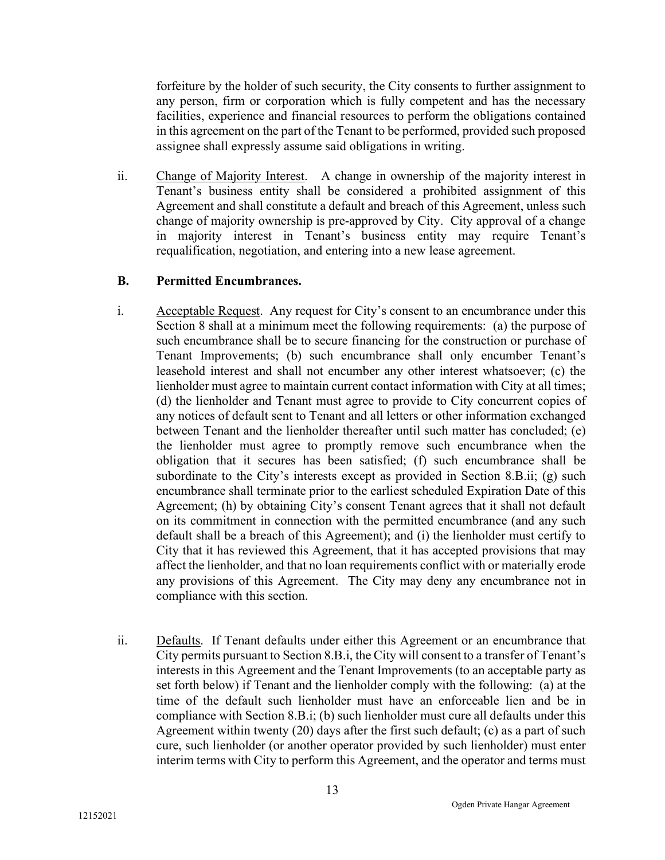forfeiture by the holder of such security, the City consents to further assignment to any person, firm or corporation which is fully competent and has the necessary facilities, experience and financial resources to perform the obligations contained in this agreement on the part of the Tenant to be performed, provided such proposed assignee shall expressly assume said obligations in writing.

ii. Change of Majority Interest. A change in ownership of the majority interest in Tenant's business entity shall be considered a prohibited assignment of this Agreement and shall constitute a default and breach of this Agreement, unless such change of majority ownership is pre-approved by City. City approval of a change in majority interest in Tenant's business entity may require Tenant's requalification, negotiation, and entering into a new lease agreement.

#### B. Permitted Encumbrances.

- i. Acceptable Request. Any request for City's consent to an encumbrance under this Section 8 shall at a minimum meet the following requirements: (a) the purpose of such encumbrance shall be to secure financing for the construction or purchase of Tenant Improvements; (b) such encumbrance shall only encumber Tenant's leasehold interest and shall not encumber any other interest whatsoever; (c) the lienholder must agree to maintain current contact information with City at all times; (d) the lienholder and Tenant must agree to provide to City concurrent copies of any notices of default sent to Tenant and all letters or other information exchanged between Tenant and the lienholder thereafter until such matter has concluded; (e) the lienholder must agree to promptly remove such encumbrance when the obligation that it secures has been satisfied; (f) such encumbrance shall be subordinate to the City's interests except as provided in Section 8.B.ii; (g) such encumbrance shall terminate prior to the earliest scheduled Expiration Date of this Agreement; (h) by obtaining City's consent Tenant agrees that it shall not default on its commitment in connection with the permitted encumbrance (and any such default shall be a breach of this Agreement); and (i) the lienholder must certify to City that it has reviewed this Agreement, that it has accepted provisions that may affect the lienholder, and that no loan requirements conflict with or materially erode any provisions of this Agreement. The City may deny any encumbrance not in compliance with this section.
- ii. Defaults. If Tenant defaults under either this Agreement or an encumbrance that City permits pursuant to Section 8.B.i, the City will consent to a transfer of Tenant's interests in this Agreement and the Tenant Improvements (to an acceptable party as set forth below) if Tenant and the lienholder comply with the following: (a) at the time of the default such lienholder must have an enforceable lien and be in compliance with Section 8.B.i; (b) such lienholder must cure all defaults under this Agreement within twenty (20) days after the first such default; (c) as a part of such cure, such lienholder (or another operator provided by such lienholder) must enter interim terms with City to perform this Agreement, and the operator and terms must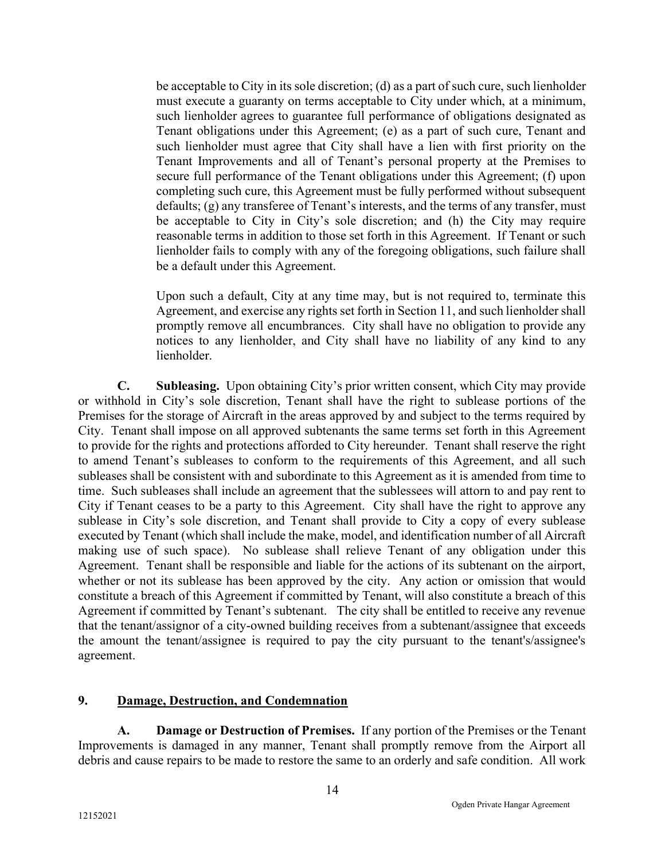be acceptable to City in its sole discretion; (d) as a part of such cure, such lienholder must execute a guaranty on terms acceptable to City under which, at a minimum, such lienholder agrees to guarantee full performance of obligations designated as Tenant obligations under this Agreement; (e) as a part of such cure, Tenant and such lienholder must agree that City shall have a lien with first priority on the Tenant Improvements and all of Tenant's personal property at the Premises to secure full performance of the Tenant obligations under this Agreement; (f) upon completing such cure, this Agreement must be fully performed without subsequent defaults; (g) any transferee of Tenant's interests, and the terms of any transfer, must be acceptable to City in City's sole discretion; and (h) the City may require reasonable terms in addition to those set forth in this Agreement. If Tenant or such lienholder fails to comply with any of the foregoing obligations, such failure shall be a default under this Agreement.

Upon such a default, City at any time may, but is not required to, terminate this Agreement, and exercise any rights set forth in Section 11, and such lienholder shall promptly remove all encumbrances. City shall have no obligation to provide any notices to any lienholder, and City shall have no liability of any kind to any lienholder.

C. Subleasing. Upon obtaining City's prior written consent, which City may provide or withhold in City's sole discretion, Tenant shall have the right to sublease portions of the Premises for the storage of Aircraft in the areas approved by and subject to the terms required by City. Tenant shall impose on all approved subtenants the same terms set forth in this Agreement to provide for the rights and protections afforded to City hereunder. Tenant shall reserve the right to amend Tenant's subleases to conform to the requirements of this Agreement, and all such subleases shall be consistent with and subordinate to this Agreement as it is amended from time to time. Such subleases shall include an agreement that the sublessees will attorn to and pay rent to City if Tenant ceases to be a party to this Agreement. City shall have the right to approve any sublease in City's sole discretion, and Tenant shall provide to City a copy of every sublease executed by Tenant (which shall include the make, model, and identification number of all Aircraft making use of such space). No sublease shall relieve Tenant of any obligation under this Agreement. Tenant shall be responsible and liable for the actions of its subtenant on the airport, whether or not its sublease has been approved by the city. Any action or omission that would constitute a breach of this Agreement if committed by Tenant, will also constitute a breach of this Agreement if committed by Tenant's subtenant. The city shall be entitled to receive any revenue that the tenant/assignor of a city-owned building receives from a subtenant/assignee that exceeds the amount the tenant/assignee is required to pay the city pursuant to the tenant's/assignee's agreement.

#### 9. Damage, Destruction, and Condemnation

A. Damage or Destruction of Premises. If any portion of the Premises or the Tenant Improvements is damaged in any manner, Tenant shall promptly remove from the Airport all debris and cause repairs to be made to restore the same to an orderly and safe condition. All work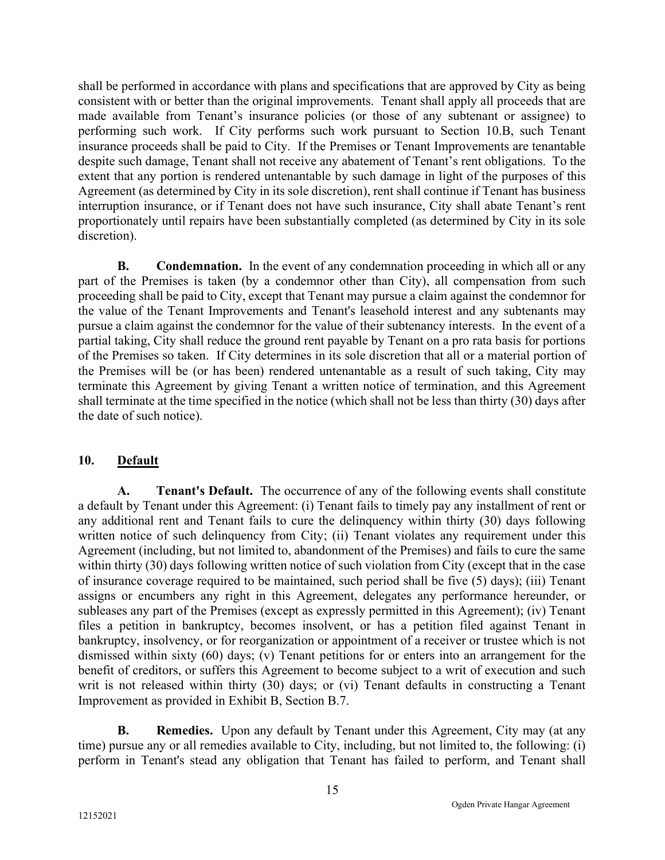shall be performed in accordance with plans and specifications that are approved by City as being consistent with or better than the original improvements. Tenant shall apply all proceeds that are made available from Tenant's insurance policies (or those of any subtenant or assignee) to performing such work. If City performs such work pursuant to Section 10.B, such Tenant insurance proceeds shall be paid to City. If the Premises or Tenant Improvements are tenantable despite such damage, Tenant shall not receive any abatement of Tenant's rent obligations. To the extent that any portion is rendered untenantable by such damage in light of the purposes of this Agreement (as determined by City in its sole discretion), rent shall continue if Tenant has business interruption insurance, or if Tenant does not have such insurance, City shall abate Tenant's rent proportionately until repairs have been substantially completed (as determined by City in its sole discretion).

**B.** Condemnation. In the event of any condemnation proceeding in which all or any part of the Premises is taken (by a condemnor other than City), all compensation from such proceeding shall be paid to City, except that Tenant may pursue a claim against the condemnor for the value of the Tenant Improvements and Tenant's leasehold interest and any subtenants may pursue a claim against the condemnor for the value of their subtenancy interests. In the event of a partial taking, City shall reduce the ground rent payable by Tenant on a pro rata basis for portions of the Premises so taken. If City determines in its sole discretion that all or a material portion of the Premises will be (or has been) rendered untenantable as a result of such taking, City may terminate this Agreement by giving Tenant a written notice of termination, and this Agreement shall terminate at the time specified in the notice (which shall not be less than thirty (30) days after the date of such notice).

## 10. Default

A. Tenant's Default. The occurrence of any of the following events shall constitute a default by Tenant under this Agreement: (i) Tenant fails to timely pay any installment of rent or any additional rent and Tenant fails to cure the delinquency within thirty (30) days following written notice of such delinquency from City; (ii) Tenant violates any requirement under this Agreement (including, but not limited to, abandonment of the Premises) and fails to cure the same within thirty (30) days following written notice of such violation from City (except that in the case of insurance coverage required to be maintained, such period shall be five (5) days); (iii) Tenant assigns or encumbers any right in this Agreement, delegates any performance hereunder, or subleases any part of the Premises (except as expressly permitted in this Agreement); (iv) Tenant files a petition in bankruptcy, becomes insolvent, or has a petition filed against Tenant in bankruptcy, insolvency, or for reorganization or appointment of a receiver or trustee which is not dismissed within sixty (60) days; (v) Tenant petitions for or enters into an arrangement for the benefit of creditors, or suffers this Agreement to become subject to a writ of execution and such writ is not released within thirty (30) days; or (vi) Tenant defaults in constructing a Tenant Improvement as provided in Exhibit B, Section B.7.

**B.** Remedies. Upon any default by Tenant under this Agreement, City may (at any time) pursue any or all remedies available to City, including, but not limited to, the following: (i) perform in Tenant's stead any obligation that Tenant has failed to perform, and Tenant shall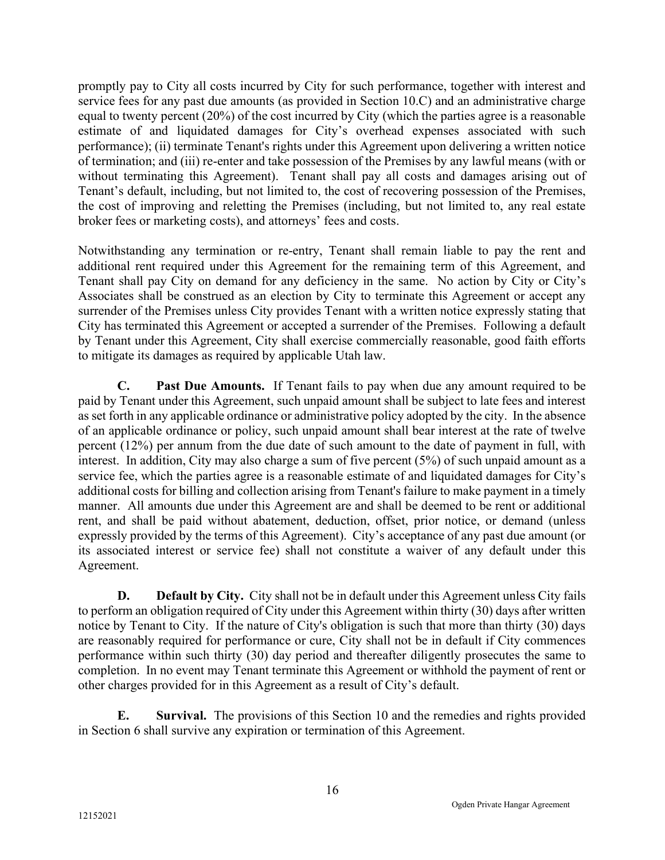promptly pay to City all costs incurred by City for such performance, together with interest and service fees for any past due amounts (as provided in Section 10.C) and an administrative charge equal to twenty percent (20%) of the cost incurred by City (which the parties agree is a reasonable estimate of and liquidated damages for City's overhead expenses associated with such performance); (ii) terminate Tenant's rights under this Agreement upon delivering a written notice of termination; and (iii) re-enter and take possession of the Premises by any lawful means (with or without terminating this Agreement). Tenant shall pay all costs and damages arising out of Tenant's default, including, but not limited to, the cost of recovering possession of the Premises, the cost of improving and reletting the Premises (including, but not limited to, any real estate broker fees or marketing costs), and attorneys' fees and costs.

Notwithstanding any termination or re-entry, Tenant shall remain liable to pay the rent and additional rent required under this Agreement for the remaining term of this Agreement, and Tenant shall pay City on demand for any deficiency in the same. No action by City or City's Associates shall be construed as an election by City to terminate this Agreement or accept any surrender of the Premises unless City provides Tenant with a written notice expressly stating that City has terminated this Agreement or accepted a surrender of the Premises. Following a default by Tenant under this Agreement, City shall exercise commercially reasonable, good faith efforts to mitigate its damages as required by applicable Utah law.

C. Past Due Amounts. If Tenant fails to pay when due any amount required to be paid by Tenant under this Agreement, such unpaid amount shall be subject to late fees and interest as set forth in any applicable ordinance or administrative policy adopted by the city. In the absence of an applicable ordinance or policy, such unpaid amount shall bear interest at the rate of twelve percent (12%) per annum from the due date of such amount to the date of payment in full, with interest. In addition, City may also charge a sum of five percent (5%) of such unpaid amount as a service fee, which the parties agree is a reasonable estimate of and liquidated damages for City's additional costs for billing and collection arising from Tenant's failure to make payment in a timely manner. All amounts due under this Agreement are and shall be deemed to be rent or additional rent, and shall be paid without abatement, deduction, offset, prior notice, or demand (unless expressly provided by the terms of this Agreement). City's acceptance of any past due amount (or its associated interest or service fee) shall not constitute a waiver of any default under this Agreement.

D. Default by City. City shall not be in default under this Agreement unless City fails to perform an obligation required of City under this Agreement within thirty (30) days after written notice by Tenant to City. If the nature of City's obligation is such that more than thirty (30) days are reasonably required for performance or cure, City shall not be in default if City commences performance within such thirty (30) day period and thereafter diligently prosecutes the same to completion. In no event may Tenant terminate this Agreement or withhold the payment of rent or other charges provided for in this Agreement as a result of City's default.

 E. Survival. The provisions of this Section 10 and the remedies and rights provided in Section 6 shall survive any expiration or termination of this Agreement.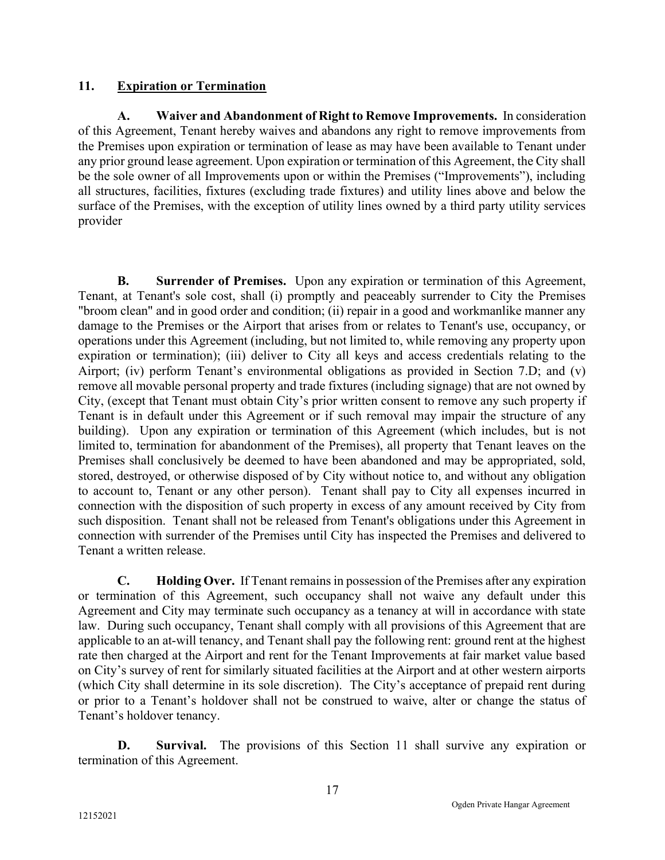## 11. Expiration or Termination

 A. Waiver and Abandonment of Right to Remove Improvements. In consideration of this Agreement, Tenant hereby waives and abandons any right to remove improvements from the Premises upon expiration or termination of lease as may have been available to Tenant under any prior ground lease agreement. Upon expiration or termination of this Agreement, the City shall be the sole owner of all Improvements upon or within the Premises ("Improvements"), including all structures, facilities, fixtures (excluding trade fixtures) and utility lines above and below the surface of the Premises, with the exception of utility lines owned by a third party utility services provider

**B.** Surrender of Premises. Upon any expiration or termination of this Agreement, Tenant, at Tenant's sole cost, shall (i) promptly and peaceably surrender to City the Premises "broom clean" and in good order and condition; (ii) repair in a good and workmanlike manner any damage to the Premises or the Airport that arises from or relates to Tenant's use, occupancy, or operations under this Agreement (including, but not limited to, while removing any property upon expiration or termination); (iii) deliver to City all keys and access credentials relating to the Airport; (iv) perform Tenant's environmental obligations as provided in Section 7.D; and (v) remove all movable personal property and trade fixtures (including signage) that are not owned by City, (except that Tenant must obtain City's prior written consent to remove any such property if Tenant is in default under this Agreement or if such removal may impair the structure of any building). Upon any expiration or termination of this Agreement (which includes, but is not limited to, termination for abandonment of the Premises), all property that Tenant leaves on the Premises shall conclusively be deemed to have been abandoned and may be appropriated, sold, stored, destroyed, or otherwise disposed of by City without notice to, and without any obligation to account to, Tenant or any other person). Tenant shall pay to City all expenses incurred in connection with the disposition of such property in excess of any amount received by City from such disposition. Tenant shall not be released from Tenant's obligations under this Agreement in connection with surrender of the Premises until City has inspected the Premises and delivered to Tenant a written release.

C. Holding Over. If Tenant remains in possession of the Premises after any expiration or termination of this Agreement, such occupancy shall not waive any default under this Agreement and City may terminate such occupancy as a tenancy at will in accordance with state law. During such occupancy, Tenant shall comply with all provisions of this Agreement that are applicable to an at-will tenancy, and Tenant shall pay the following rent: ground rent at the highest rate then charged at the Airport and rent for the Tenant Improvements at fair market value based on City's survey of rent for similarly situated facilities at the Airport and at other western airports (which City shall determine in its sole discretion). The City's acceptance of prepaid rent during or prior to a Tenant's holdover shall not be construed to waive, alter or change the status of Tenant's holdover tenancy.

D. Survival. The provisions of this Section 11 shall survive any expiration or termination of this Agreement.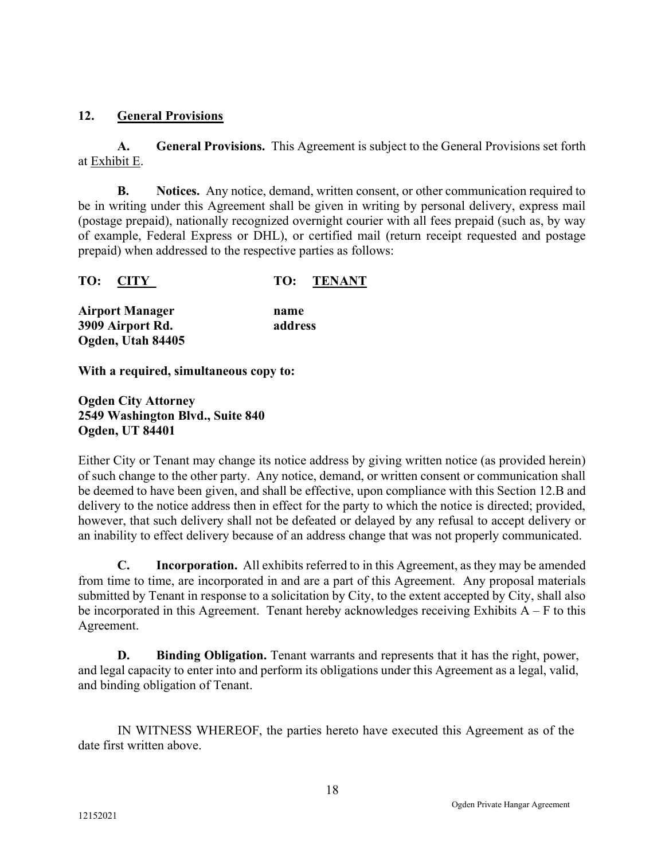## 12. General Provisions

A. General Provisions. This Agreement is subject to the General Provisions set forth at Exhibit E.

**B.** Notices. Any notice, demand, written consent, or other communication required to be in writing under this Agreement shall be given in writing by personal delivery, express mail (postage prepaid), nationally recognized overnight courier with all fees prepaid (such as, by way of example, Federal Express or DHL), or certified mail (return receipt requested and postage prepaid) when addressed to the respective parties as follows:

|  | TO: CITY |  | <b>TO: TENANT</b> |
|--|----------|--|-------------------|
|--|----------|--|-------------------|

| <b>Airport Manager</b> | name    |
|------------------------|---------|
| 3909 Airport Rd.       | address |
| Ogden, Utah 84405      |         |

With a required, simultaneous copy to:

Ogden City Attorney 2549 Washington Blvd., Suite 840 Ogden, UT 84401

Either City or Tenant may change its notice address by giving written notice (as provided herein) of such change to the other party. Any notice, demand, or written consent or communication shall be deemed to have been given, and shall be effective, upon compliance with this Section 12.B and delivery to the notice address then in effect for the party to which the notice is directed; provided, however, that such delivery shall not be defeated or delayed by any refusal to accept delivery or an inability to effect delivery because of an address change that was not properly communicated.

C. Incorporation. All exhibits referred to in this Agreement, as they may be amended from time to time, are incorporated in and are a part of this Agreement. Any proposal materials submitted by Tenant in response to a solicitation by City, to the extent accepted by City, shall also be incorporated in this Agreement. Tenant hereby acknowledges receiving Exhibits  $A - F$  to this Agreement.

D. Binding Obligation. Tenant warrants and represents that it has the right, power, and legal capacity to enter into and perform its obligations under this Agreement as a legal, valid, and binding obligation of Tenant.

IN WITNESS WHEREOF, the parties hereto have executed this Agreement as of the date first written above.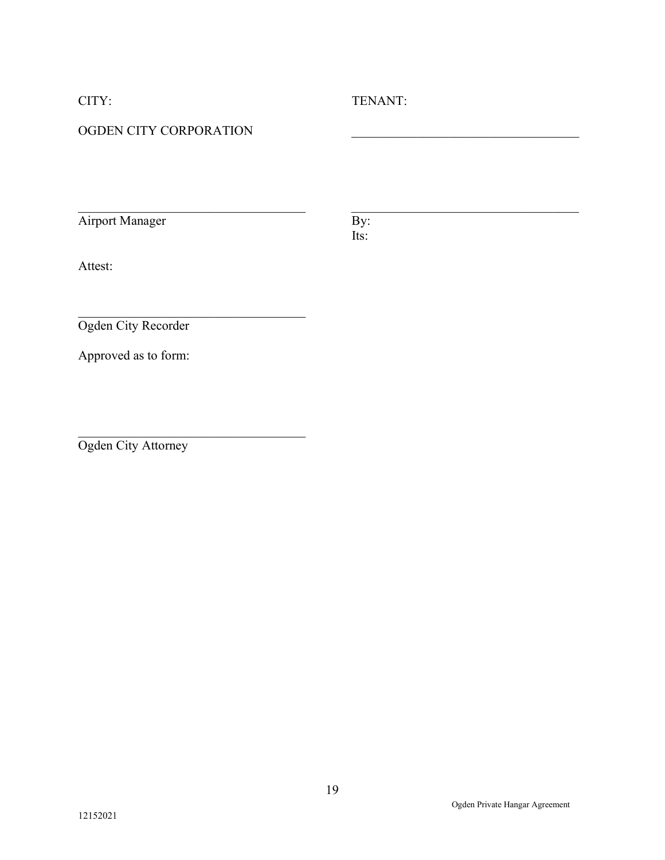# CITY: TENANT:

# OGDEN CITY CORPORATION

Airport Manager By:

Its:

Attest:

Ogden City Recorder

Approved as to form:

Ogden City Attorney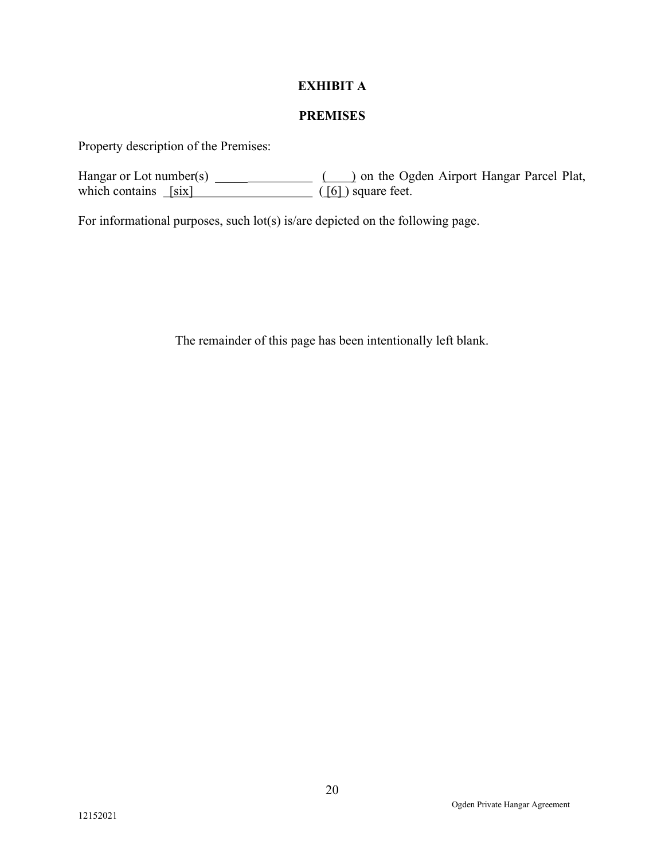## EXHIBIT A

## PREMISES

Property description of the Premises:

Hangar or Lot number(s) \_\_\_\_\_ ( ) on the Ogden Airport Hangar Parcel Plat, which contains  $[six]$  ([6] ) square feet.

For informational purposes, such lot(s) is/are depicted on the following page.

The remainder of this page has been intentionally left blank.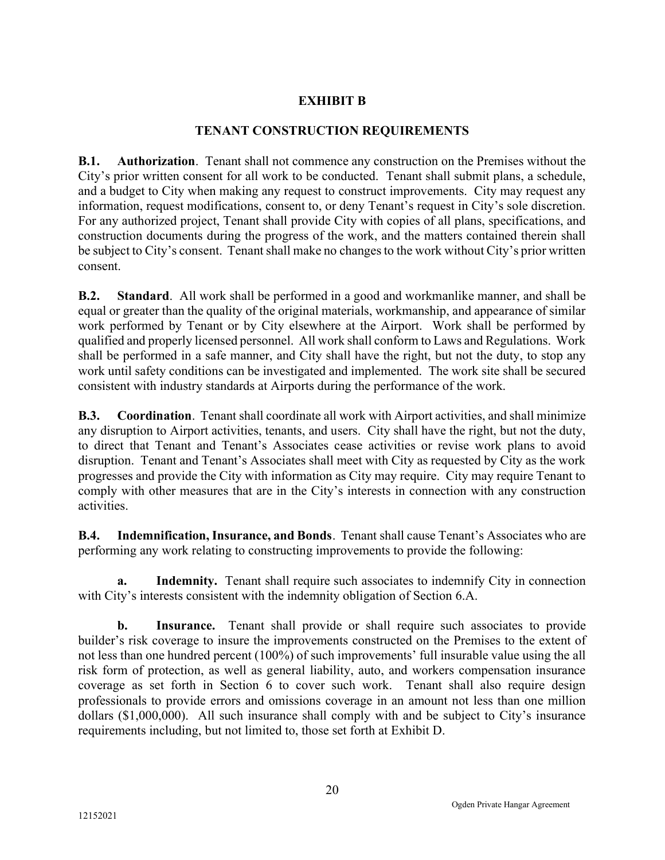# EXHIBIT B

## TENANT CONSTRUCTION REQUIREMENTS

B.1. Authorization. Tenant shall not commence any construction on the Premises without the City's prior written consent for all work to be conducted. Tenant shall submit plans, a schedule, and a budget to City when making any request to construct improvements. City may request any information, request modifications, consent to, or deny Tenant's request in City's sole discretion. For any authorized project, Tenant shall provide City with copies of all plans, specifications, and construction documents during the progress of the work, and the matters contained therein shall be subject to City's consent. Tenant shall make no changes to the work without City's prior written consent.

B.2. Standard. All work shall be performed in a good and workmanlike manner, and shall be equal or greater than the quality of the original materials, workmanship, and appearance of similar work performed by Tenant or by City elsewhere at the Airport. Work shall be performed by qualified and properly licensed personnel. All work shall conform to Laws and Regulations. Work shall be performed in a safe manner, and City shall have the right, but not the duty, to stop any work until safety conditions can be investigated and implemented. The work site shall be secured consistent with industry standards at Airports during the performance of the work.

B.3. Coordination. Tenant shall coordinate all work with Airport activities, and shall minimize any disruption to Airport activities, tenants, and users. City shall have the right, but not the duty, to direct that Tenant and Tenant's Associates cease activities or revise work plans to avoid disruption. Tenant and Tenant's Associates shall meet with City as requested by City as the work progresses and provide the City with information as City may require. City may require Tenant to comply with other measures that are in the City's interests in connection with any construction activities.

B.4. Indemnification, Insurance, and Bonds. Tenant shall cause Tenant's Associates who are performing any work relating to constructing improvements to provide the following:

a. Indemnity. Tenant shall require such associates to indemnify City in connection with City's interests consistent with the indemnity obligation of Section 6.A.

**b.** Insurance. Tenant shall provide or shall require such associates to provide builder's risk coverage to insure the improvements constructed on the Premises to the extent of not less than one hundred percent (100%) of such improvements' full insurable value using the all risk form of protection, as well as general liability, auto, and workers compensation insurance coverage as set forth in Section 6 to cover such work. Tenant shall also require design professionals to provide errors and omissions coverage in an amount not less than one million dollars (\$1,000,000). All such insurance shall comply with and be subject to City's insurance requirements including, but not limited to, those set forth at Exhibit D.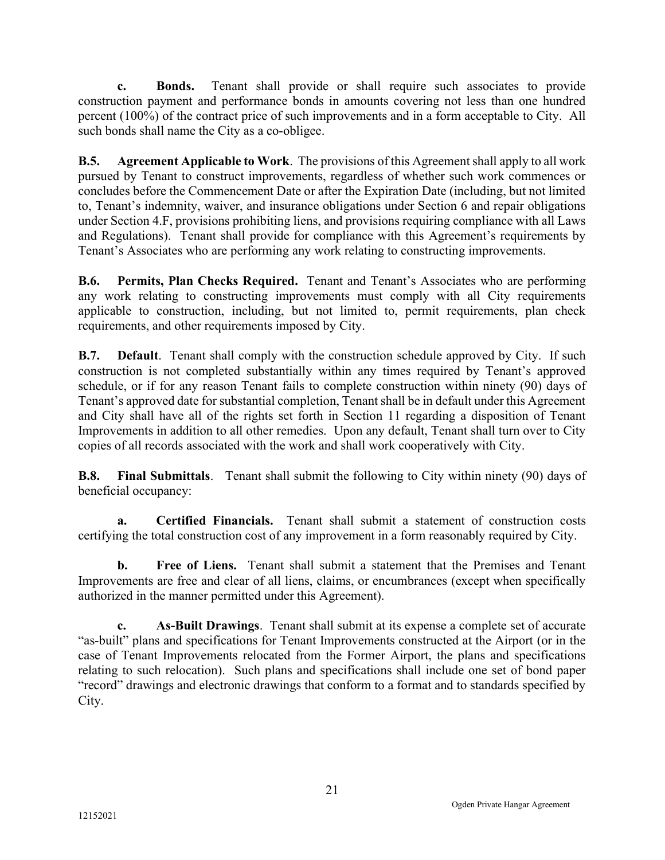c. Bonds. Tenant shall provide or shall require such associates to provide construction payment and performance bonds in amounts covering not less than one hundred percent (100%) of the contract price of such improvements and in a form acceptable to City. All such bonds shall name the City as a co-obligee.

B.5. Agreement Applicable to Work. The provisions of this Agreement shall apply to all work pursued by Tenant to construct improvements, regardless of whether such work commences or concludes before the Commencement Date or after the Expiration Date (including, but not limited to, Tenant's indemnity, waiver, and insurance obligations under Section 6 and repair obligations under Section 4.F, provisions prohibiting liens, and provisions requiring compliance with all Laws and Regulations). Tenant shall provide for compliance with this Agreement's requirements by Tenant's Associates who are performing any work relating to constructing improvements.

B.6. Permits, Plan Checks Required. Tenant and Tenant's Associates who are performing any work relating to constructing improvements must comply with all City requirements applicable to construction, including, but not limited to, permit requirements, plan check requirements, and other requirements imposed by City.

B.7. Default. Tenant shall comply with the construction schedule approved by City. If such construction is not completed substantially within any times required by Tenant's approved schedule, or if for any reason Tenant fails to complete construction within ninety (90) days of Tenant's approved date for substantial completion, Tenant shall be in default under this Agreement and City shall have all of the rights set forth in Section 11 regarding a disposition of Tenant Improvements in addition to all other remedies. Upon any default, Tenant shall turn over to City copies of all records associated with the work and shall work cooperatively with City.

B.8. Final Submittals. Tenant shall submit the following to City within ninety (90) days of beneficial occupancy:

a. Certified Financials. Tenant shall submit a statement of construction costs certifying the total construction cost of any improvement in a form reasonably required by City.

b. Free of Liens. Tenant shall submit a statement that the Premises and Tenant Improvements are free and clear of all liens, claims, or encumbrances (except when specifically authorized in the manner permitted under this Agreement).

c. As-Built Drawings. Tenant shall submit at its expense a complete set of accurate "as-built" plans and specifications for Tenant Improvements constructed at the Airport (or in the case of Tenant Improvements relocated from the Former Airport, the plans and specifications relating to such relocation). Such plans and specifications shall include one set of bond paper "record" drawings and electronic drawings that conform to a format and to standards specified by City.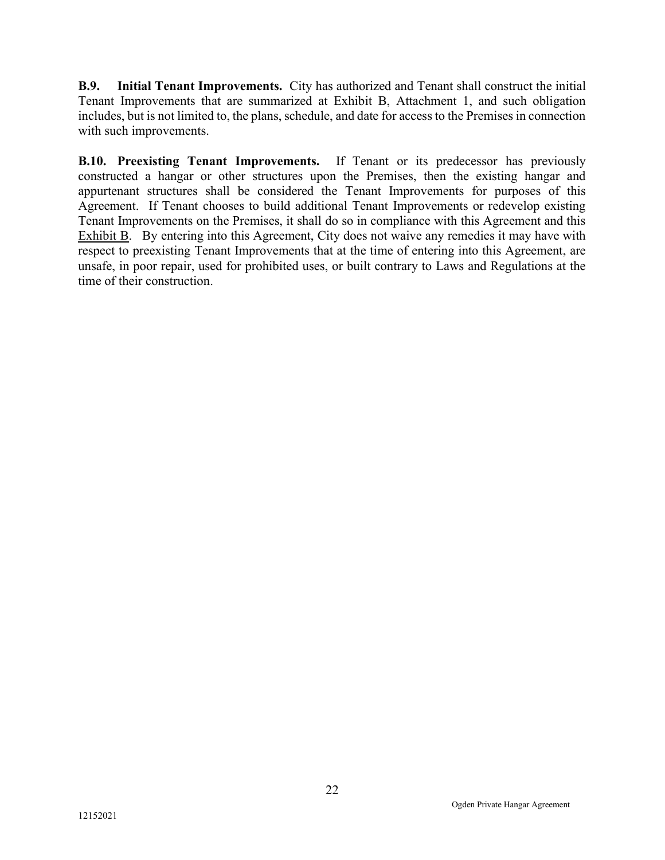B.9. Initial Tenant Improvements. City has authorized and Tenant shall construct the initial Tenant Improvements that are summarized at Exhibit B, Attachment 1, and such obligation includes, but is not limited to, the plans, schedule, and date for access to the Premises in connection with such improvements.

B.10. Preexisting Tenant Improvements. If Tenant or its predecessor has previously constructed a hangar or other structures upon the Premises, then the existing hangar and appurtenant structures shall be considered the Tenant Improvements for purposes of this Agreement. If Tenant chooses to build additional Tenant Improvements or redevelop existing Tenant Improvements on the Premises, it shall do so in compliance with this Agreement and this Exhibit B. By entering into this Agreement, City does not waive any remedies it may have with respect to preexisting Tenant Improvements that at the time of entering into this Agreement, are unsafe, in poor repair, used for prohibited uses, or built contrary to Laws and Regulations at the time of their construction.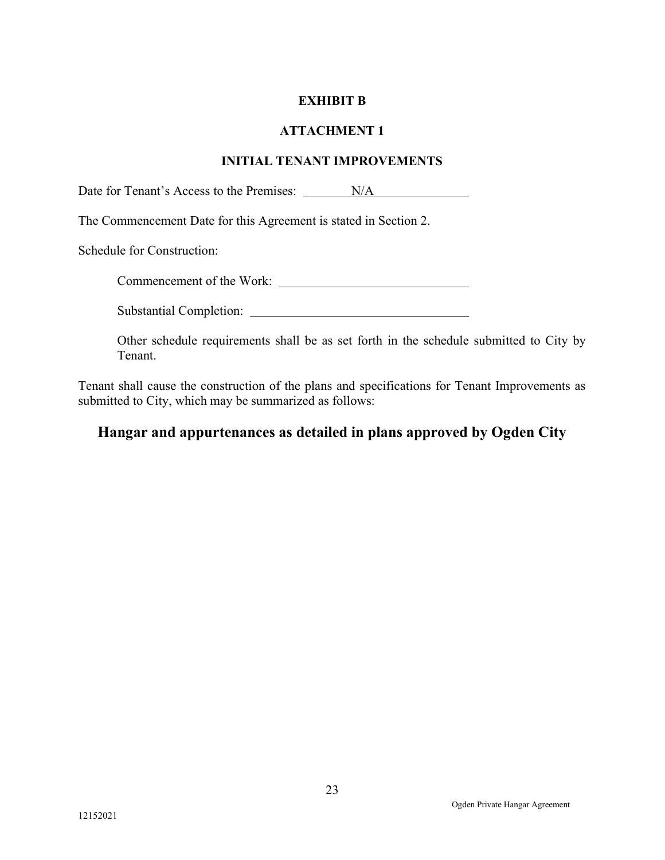### EXHIBIT B

#### ATTACHMENT 1

#### INITIAL TENANT IMPROVEMENTS

Date for Tenant's Access to the Premises: N/A

The Commencement Date for this Agreement is stated in Section 2.

Schedule for Construction:

Commencement of the Work:

Substantial Completion:

Other schedule requirements shall be as set forth in the schedule submitted to City by Tenant.

Tenant shall cause the construction of the plans and specifications for Tenant Improvements as submitted to City, which may be summarized as follows:

# Hangar and appurtenances as detailed in plans approved by Ogden City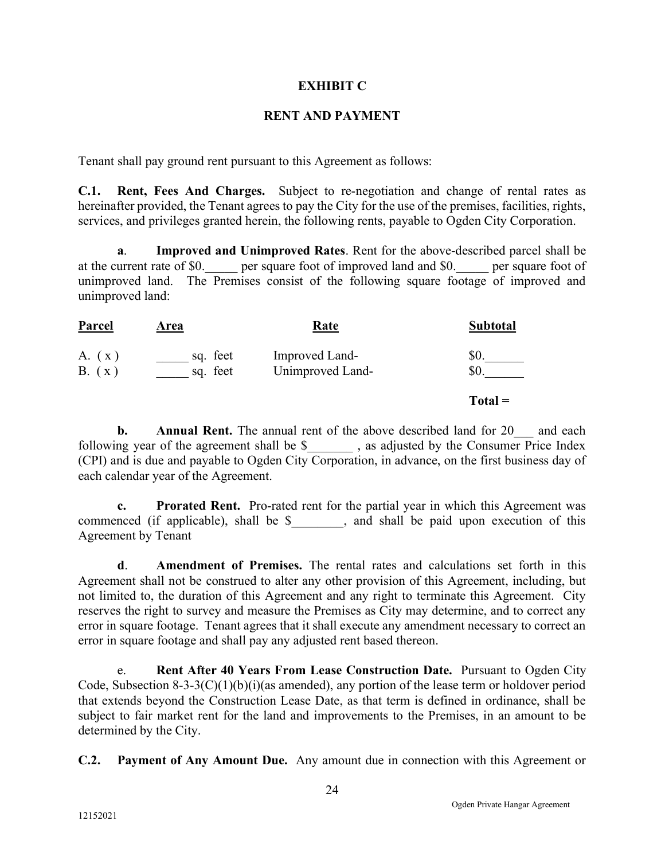#### EXHIBIT C

### RENT AND PAYMENT

Tenant shall pay ground rent pursuant to this Agreement as follows:

C.1. Rent, Fees And Charges. Subject to re-negotiation and change of rental rates as hereinafter provided, the Tenant agrees to pay the City for the use of the premises, facilities, rights, services, and privileges granted herein, the following rents, payable to Ogden City Corporation.

a. Improved and Unimproved Rates. Rent for the above-described parcel shall be at the current rate of \$0. \_\_\_\_ per square foot of improved land and \$0. \_\_\_\_ per square foot of unimproved land. The Premises consist of the following square footage of improved and unimproved land:

| <b>Parcel</b>    | <b>Area</b>          | <u>Rate</u>                        | <b>Subtotal</b> |
|------------------|----------------------|------------------------------------|-----------------|
| A. (x)<br>B. (x) | sq. feet<br>sq. feet | Improved Land-<br>Unimproved Land- | \$0.<br>\$0.    |
|                  |                      |                                    | $Total =$       |

**b.** Annual Rent. The annual rent of the above described land for 20 and each following year of the agreement shall be \$ , as adjusted by the Consumer Price Index (CPI) and is due and payable to Ogden City Corporation, in advance, on the first business day of each calendar year of the Agreement.

c. Prorated Rent. Pro-rated rent for the partial year in which this Agreement was commenced (if applicable), shall be \$, and shall be paid upon execution of this Agreement by Tenant

d. Amendment of Premises. The rental rates and calculations set forth in this Agreement shall not be construed to alter any other provision of this Agreement, including, but not limited to, the duration of this Agreement and any right to terminate this Agreement. City reserves the right to survey and measure the Premises as City may determine, and to correct any error in square footage. Tenant agrees that it shall execute any amendment necessary to correct an error in square footage and shall pay any adjusted rent based thereon.

e. Rent After 40 Years From Lease Construction Date. Pursuant to Ogden City Code, Subsection 8-3-3(C)(1)(b)(i)(as amended), any portion of the lease term or holdover period that extends beyond the Construction Lease Date, as that term is defined in ordinance, shall be subject to fair market rent for the land and improvements to the Premises, in an amount to be determined by the City.

C.2. Payment of Any Amount Due. Any amount due in connection with this Agreement or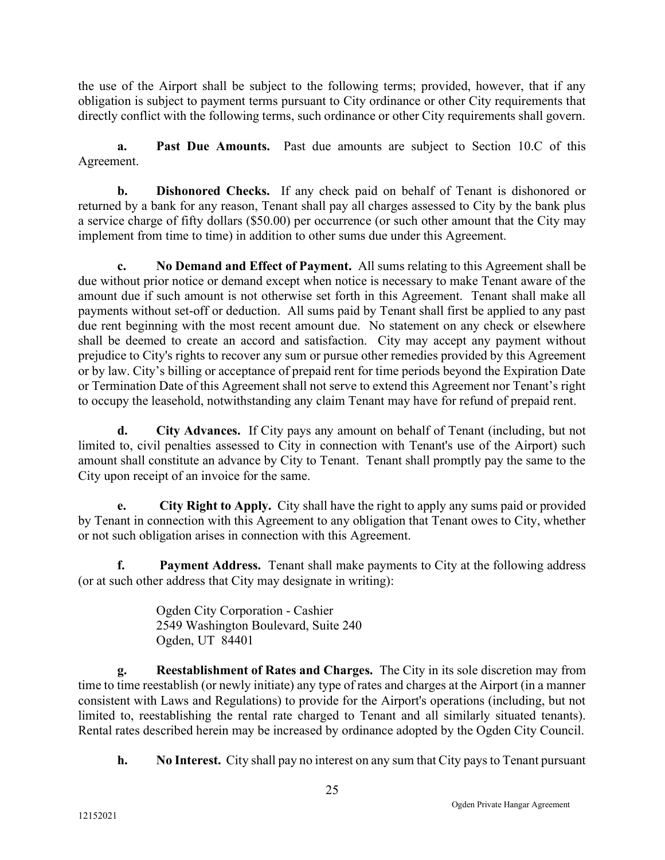the use of the Airport shall be subject to the following terms; provided, however, that if any obligation is subject to payment terms pursuant to City ordinance or other City requirements that directly conflict with the following terms, such ordinance or other City requirements shall govern.

a. Past Due Amounts. Past due amounts are subject to Section 10.C of this Agreement.

b. Dishonored Checks. If any check paid on behalf of Tenant is dishonored or returned by a bank for any reason, Tenant shall pay all charges assessed to City by the bank plus a service charge of fifty dollars (\$50.00) per occurrence (or such other amount that the City may implement from time to time) in addition to other sums due under this Agreement.

c. No Demand and Effect of Payment. All sums relating to this Agreement shall be due without prior notice or demand except when notice is necessary to make Tenant aware of the amount due if such amount is not otherwise set forth in this Agreement. Tenant shall make all payments without set-off or deduction. All sums paid by Tenant shall first be applied to any past due rent beginning with the most recent amount due. No statement on any check or elsewhere shall be deemed to create an accord and satisfaction. City may accept any payment without prejudice to City's rights to recover any sum or pursue other remedies provided by this Agreement or by law. City's billing or acceptance of prepaid rent for time periods beyond the Expiration Date or Termination Date of this Agreement shall not serve to extend this Agreement nor Tenant's right to occupy the leasehold, notwithstanding any claim Tenant may have for refund of prepaid rent.

d. City Advances. If City pays any amount on behalf of Tenant (including, but not limited to, civil penalties assessed to City in connection with Tenant's use of the Airport) such amount shall constitute an advance by City to Tenant. Tenant shall promptly pay the same to the City upon receipt of an invoice for the same.

e. City Right to Apply. City shall have the right to apply any sums paid or provided by Tenant in connection with this Agreement to any obligation that Tenant owes to City, whether or not such obligation arises in connection with this Agreement.

f. Payment Address. Tenant shall make payments to City at the following address (or at such other address that City may designate in writing):

> Ogden City Corporation - Cashier 2549 Washington Boulevard, Suite 240 Ogden, UT 84401

g. Reestablishment of Rates and Charges. The City in its sole discretion may from time to time reestablish (or newly initiate) any type of rates and charges at the Airport (in a manner consistent with Laws and Regulations) to provide for the Airport's operations (including, but not limited to, reestablishing the rental rate charged to Tenant and all similarly situated tenants). Rental rates described herein may be increased by ordinance adopted by the Ogden City Council.

h. No Interest. City shall pay no interest on any sum that City pays to Tenant pursuant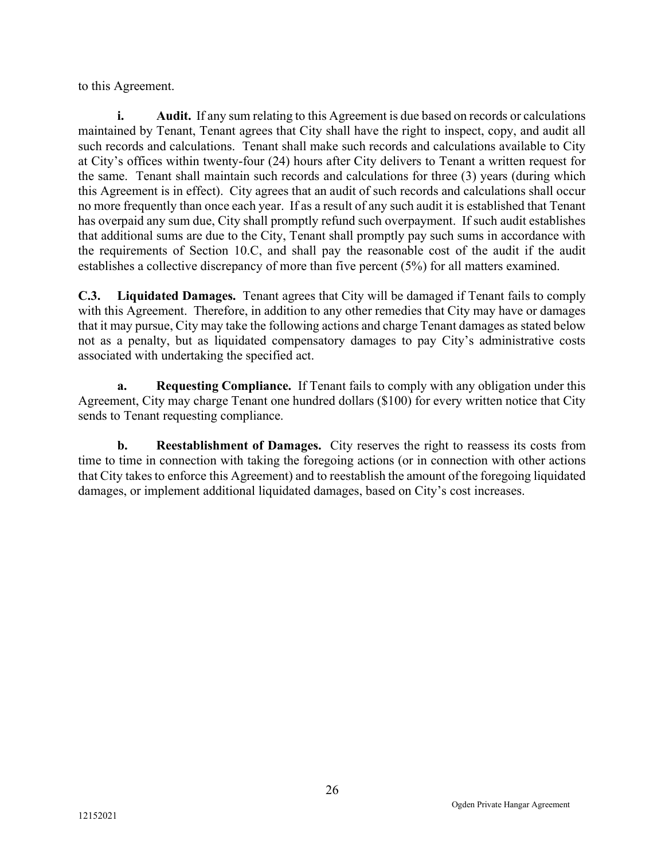to this Agreement.

i. Audit. If any sum relating to this Agreement is due based on records or calculations maintained by Tenant, Tenant agrees that City shall have the right to inspect, copy, and audit all such records and calculations. Tenant shall make such records and calculations available to City at City's offices within twenty-four (24) hours after City delivers to Tenant a written request for the same. Tenant shall maintain such records and calculations for three (3) years (during which this Agreement is in effect). City agrees that an audit of such records and calculations shall occur no more frequently than once each year. If as a result of any such audit it is established that Tenant has overpaid any sum due, City shall promptly refund such overpayment. If such audit establishes that additional sums are due to the City, Tenant shall promptly pay such sums in accordance with the requirements of Section 10.C, and shall pay the reasonable cost of the audit if the audit establishes a collective discrepancy of more than five percent (5%) for all matters examined.

C.3. Liquidated Damages. Tenant agrees that City will be damaged if Tenant fails to comply with this Agreement. Therefore, in addition to any other remedies that City may have or damages that it may pursue, City may take the following actions and charge Tenant damages as stated below not as a penalty, but as liquidated compensatory damages to pay City's administrative costs associated with undertaking the specified act.

a. Requesting Compliance. If Tenant fails to comply with any obligation under this Agreement, City may charge Tenant one hundred dollars (\$100) for every written notice that City sends to Tenant requesting compliance.

b. Reestablishment of Damages. City reserves the right to reassess its costs from time to time in connection with taking the foregoing actions (or in connection with other actions that City takes to enforce this Agreement) and to reestablish the amount of the foregoing liquidated damages, or implement additional liquidated damages, based on City's cost increases.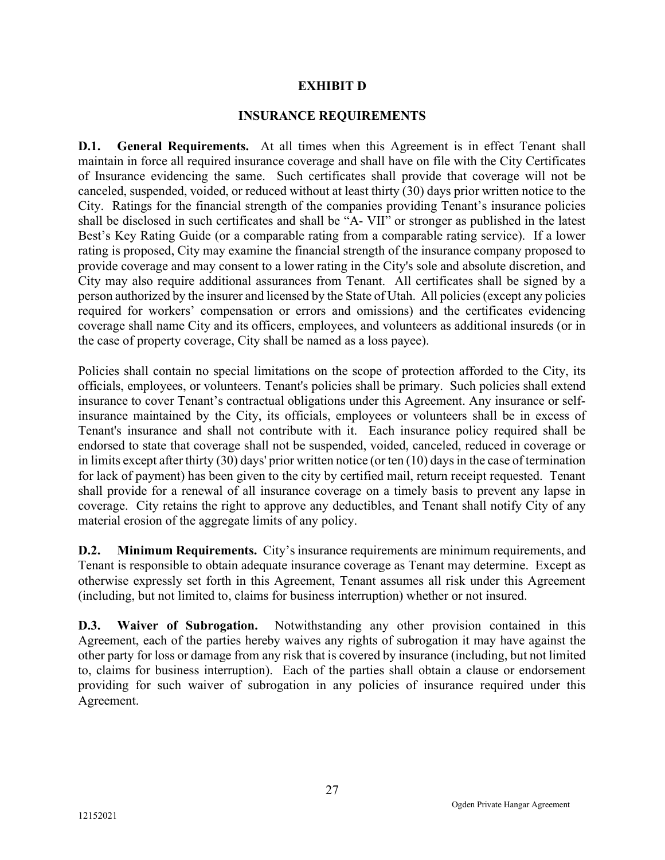#### EXHIBIT D

#### INSURANCE REQUIREMENTS

D.1. General Requirements. At all times when this Agreement is in effect Tenant shall maintain in force all required insurance coverage and shall have on file with the City Certificates of Insurance evidencing the same. Such certificates shall provide that coverage will not be canceled, suspended, voided, or reduced without at least thirty (30) days prior written notice to the City. Ratings for the financial strength of the companies providing Tenant's insurance policies shall be disclosed in such certificates and shall be "A- VII" or stronger as published in the latest Best's Key Rating Guide (or a comparable rating from a comparable rating service). If a lower rating is proposed, City may examine the financial strength of the insurance company proposed to provide coverage and may consent to a lower rating in the City's sole and absolute discretion, and City may also require additional assurances from Tenant. All certificates shall be signed by a person authorized by the insurer and licensed by the State of Utah. All policies (except any policies required for workers' compensation or errors and omissions) and the certificates evidencing coverage shall name City and its officers, employees, and volunteers as additional insureds (or in the case of property coverage, City shall be named as a loss payee).

Policies shall contain no special limitations on the scope of protection afforded to the City, its officials, employees, or volunteers. Tenant's policies shall be primary. Such policies shall extend insurance to cover Tenant's contractual obligations under this Agreement. Any insurance or selfinsurance maintained by the City, its officials, employees or volunteers shall be in excess of Tenant's insurance and shall not contribute with it. Each insurance policy required shall be endorsed to state that coverage shall not be suspended, voided, canceled, reduced in coverage or in limits except after thirty (30) days' prior written notice (or ten (10) days in the case of termination for lack of payment) has been given to the city by certified mail, return receipt requested. Tenant shall provide for a renewal of all insurance coverage on a timely basis to prevent any lapse in coverage. City retains the right to approve any deductibles, and Tenant shall notify City of any material erosion of the aggregate limits of any policy.

D.2. Minimum Requirements. City's insurance requirements are minimum requirements, and Tenant is responsible to obtain adequate insurance coverage as Tenant may determine. Except as otherwise expressly set forth in this Agreement, Tenant assumes all risk under this Agreement (including, but not limited to, claims for business interruption) whether or not insured.

D.3. Waiver of Subrogation. Notwithstanding any other provision contained in this Agreement, each of the parties hereby waives any rights of subrogation it may have against the other party for loss or damage from any risk that is covered by insurance (including, but not limited to, claims for business interruption). Each of the parties shall obtain a clause or endorsement providing for such waiver of subrogation in any policies of insurance required under this Agreement.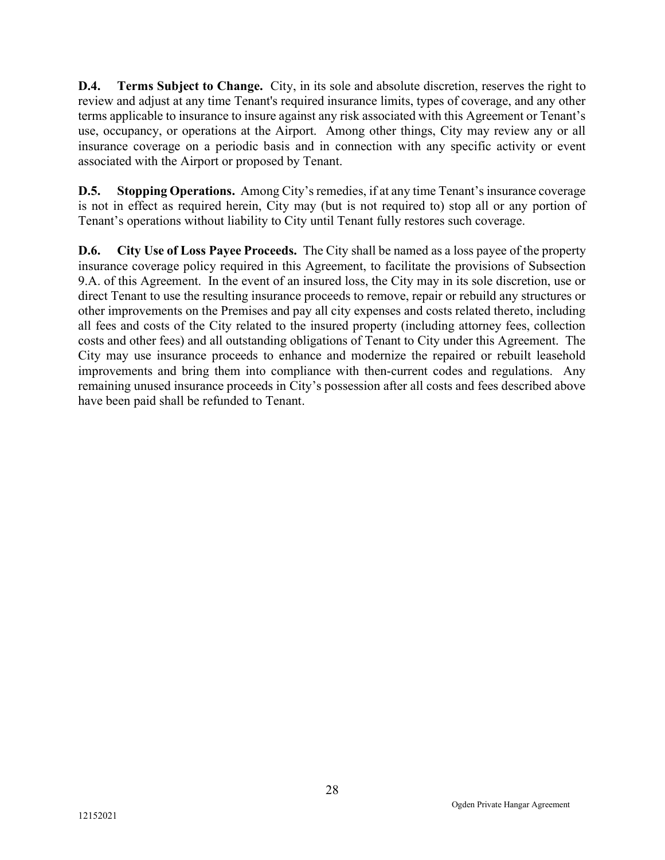**D.4.** Terms Subject to Change. City, in its sole and absolute discretion, reserves the right to review and adjust at any time Tenant's required insurance limits, types of coverage, and any other terms applicable to insurance to insure against any risk associated with this Agreement or Tenant's use, occupancy, or operations at the Airport. Among other things, City may review any or all insurance coverage on a periodic basis and in connection with any specific activity or event associated with the Airport or proposed by Tenant.

D.5. Stopping Operations. Among City's remedies, if at any time Tenant's insurance coverage is not in effect as required herein, City may (but is not required to) stop all or any portion of Tenant's operations without liability to City until Tenant fully restores such coverage.

D.6. City Use of Loss Payee Proceeds. The City shall be named as a loss payee of the property insurance coverage policy required in this Agreement, to facilitate the provisions of Subsection 9.A. of this Agreement. In the event of an insured loss, the City may in its sole discretion, use or direct Tenant to use the resulting insurance proceeds to remove, repair or rebuild any structures or other improvements on the Premises and pay all city expenses and costs related thereto, including all fees and costs of the City related to the insured property (including attorney fees, collection costs and other fees) and all outstanding obligations of Tenant to City under this Agreement. The City may use insurance proceeds to enhance and modernize the repaired or rebuilt leasehold improvements and bring them into compliance with then-current codes and regulations. Any remaining unused insurance proceeds in City's possession after all costs and fees described above have been paid shall be refunded to Tenant.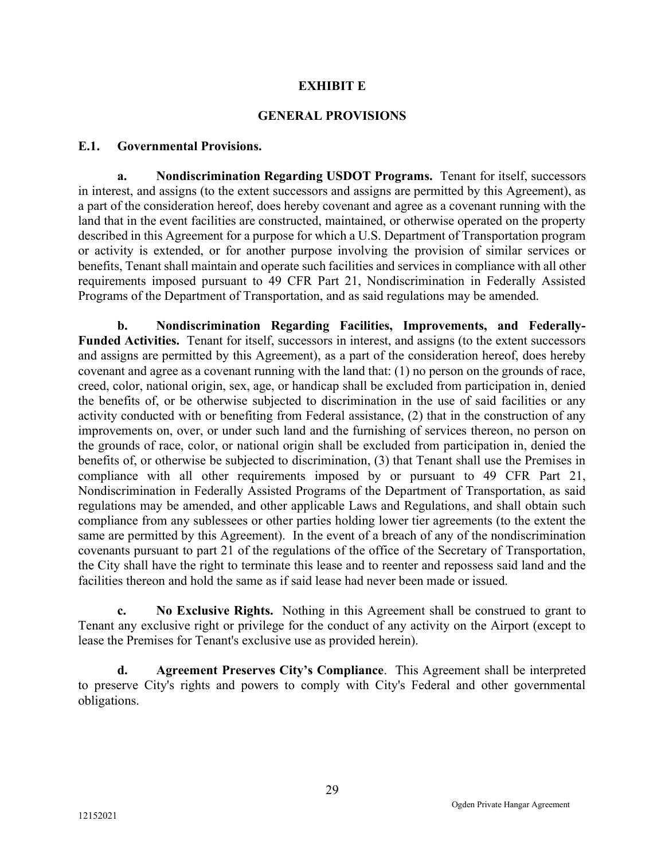#### EXHIBIT E

#### GENERAL PROVISIONS

#### E.1. Governmental Provisions.

a. Nondiscrimination Regarding USDOT Programs. Tenant for itself, successors in interest, and assigns (to the extent successors and assigns are permitted by this Agreement), as a part of the consideration hereof, does hereby covenant and agree as a covenant running with the land that in the event facilities are constructed, maintained, or otherwise operated on the property described in this Agreement for a purpose for which a U.S. Department of Transportation program or activity is extended, or for another purpose involving the provision of similar services or benefits, Tenant shall maintain and operate such facilities and services in compliance with all other requirements imposed pursuant to 49 CFR Part 21, Nondiscrimination in Federally Assisted Programs of the Department of Transportation, and as said regulations may be amended.

b. Nondiscrimination Regarding Facilities, Improvements, and Federally-Funded Activities. Tenant for itself, successors in interest, and assigns (to the extent successors and assigns are permitted by this Agreement), as a part of the consideration hereof, does hereby covenant and agree as a covenant running with the land that: (1) no person on the grounds of race, creed, color, national origin, sex, age, or handicap shall be excluded from participation in, denied the benefits of, or be otherwise subjected to discrimination in the use of said facilities or any activity conducted with or benefiting from Federal assistance, (2) that in the construction of any improvements on, over, or under such land and the furnishing of services thereon, no person on the grounds of race, color, or national origin shall be excluded from participation in, denied the benefits of, or otherwise be subjected to discrimination, (3) that Tenant shall use the Premises in compliance with all other requirements imposed by or pursuant to 49 CFR Part 21, Nondiscrimination in Federally Assisted Programs of the Department of Transportation, as said regulations may be amended, and other applicable Laws and Regulations, and shall obtain such compliance from any sublessees or other parties holding lower tier agreements (to the extent the same are permitted by this Agreement). In the event of a breach of any of the nondiscrimination covenants pursuant to part 21 of the regulations of the office of the Secretary of Transportation, the City shall have the right to terminate this lease and to reenter and repossess said land and the facilities thereon and hold the same as if said lease had never been made or issued.

c. No Exclusive Rights. Nothing in this Agreement shall be construed to grant to Tenant any exclusive right or privilege for the conduct of any activity on the Airport (except to lease the Premises for Tenant's exclusive use as provided herein).

d. Agreement Preserves City's Compliance. This Agreement shall be interpreted to preserve City's rights and powers to comply with City's Federal and other governmental obligations.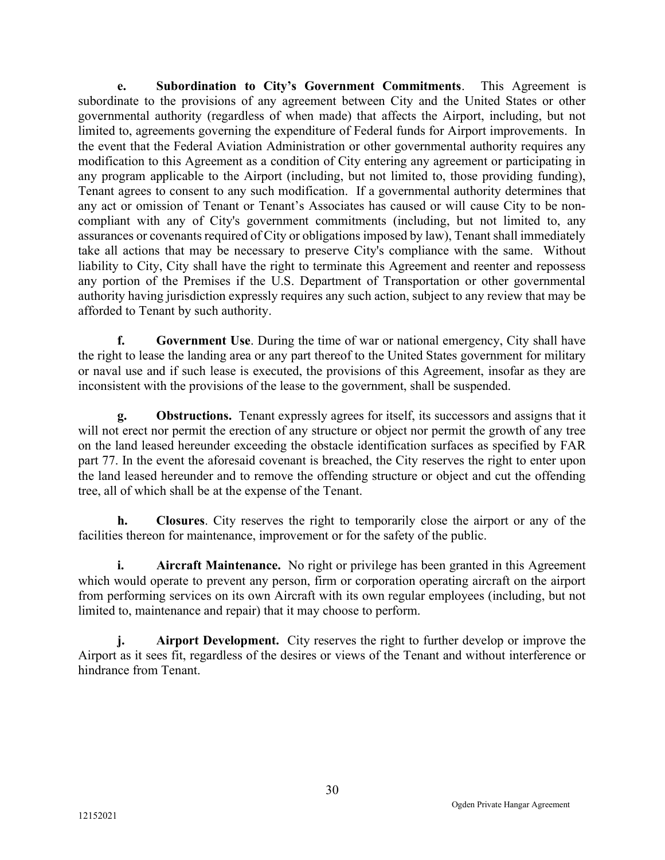e. Subordination to City's Government Commitments. This Agreement is subordinate to the provisions of any agreement between City and the United States or other governmental authority (regardless of when made) that affects the Airport, including, but not limited to, agreements governing the expenditure of Federal funds for Airport improvements. In the event that the Federal Aviation Administration or other governmental authority requires any modification to this Agreement as a condition of City entering any agreement or participating in any program applicable to the Airport (including, but not limited to, those providing funding), Tenant agrees to consent to any such modification. If a governmental authority determines that any act or omission of Tenant or Tenant's Associates has caused or will cause City to be noncompliant with any of City's government commitments (including, but not limited to, any assurances or covenants required of City or obligations imposed by law), Tenant shall immediately take all actions that may be necessary to preserve City's compliance with the same. Without liability to City, City shall have the right to terminate this Agreement and reenter and repossess any portion of the Premises if the U.S. Department of Transportation or other governmental authority having jurisdiction expressly requires any such action, subject to any review that may be afforded to Tenant by such authority.

f. Government Use. During the time of war or national emergency, City shall have the right to lease the landing area or any part thereof to the United States government for military or naval use and if such lease is executed, the provisions of this Agreement, insofar as they are inconsistent with the provisions of the lease to the government, shall be suspended.

g. Obstructions. Tenant expressly agrees for itself, its successors and assigns that it will not erect nor permit the erection of any structure or object nor permit the growth of any tree on the land leased hereunder exceeding the obstacle identification surfaces as specified by FAR part 77. In the event the aforesaid covenant is breached, the City reserves the right to enter upon the land leased hereunder and to remove the offending structure or object and cut the offending tree, all of which shall be at the expense of the Tenant.

h. Closures. City reserves the right to temporarily close the airport or any of the facilities thereon for maintenance, improvement or for the safety of the public.

**i.** Aircraft Maintenance. No right or privilege has been granted in this Agreement which would operate to prevent any person, firm or corporation operating aircraft on the airport from performing services on its own Aircraft with its own regular employees (including, but not limited to, maintenance and repair) that it may choose to perform.

j. Airport Development. City reserves the right to further develop or improve the Airport as it sees fit, regardless of the desires or views of the Tenant and without interference or hindrance from Tenant.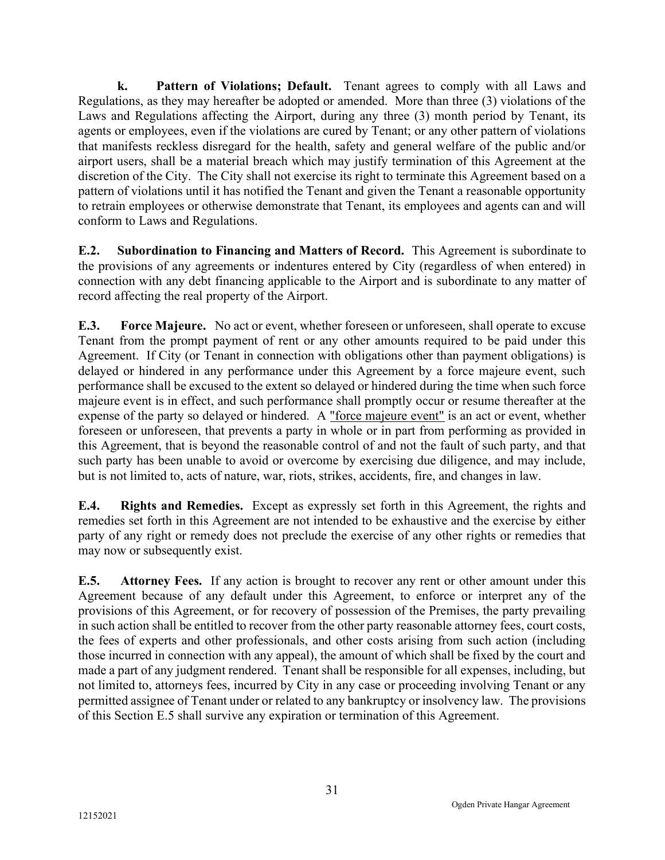k. Pattern of Violations; Default. Tenant agrees to comply with all Laws and Regulations, as they may hereafter be adopted or amended. More than three (3) violations of the Laws and Regulations affecting the Airport, during any three (3) month period by Tenant, its agents or employees, even if the violations are cured by Tenant; or any other pattern of violations that manifests reckless disregard for the health, safety and general welfare of the public and/or airport users, shall be a material breach which may justify termination of this Agreement at the discretion of the City. The City shall not exercise its right to terminate this Agreement based on a pattern of violations until it has notified the Tenant and given the Tenant a reasonable opportunity to retrain employees or otherwise demonstrate that Tenant, its employees and agents can and will conform to Laws and Regulations.

E.2. Subordination to Financing and Matters of Record. This Agreement is subordinate to the provisions of any agreements or indentures entered by City (regardless of when entered) in connection with any debt financing applicable to the Airport and is subordinate to any matter of record affecting the real property of the Airport.

E.3. Force Majeure. No act or event, whether foreseen or unforeseen, shall operate to excuse Tenant from the prompt payment of rent or any other amounts required to be paid under this Agreement. If City (or Tenant in connection with obligations other than payment obligations) is delayed or hindered in any performance under this Agreement by a force majeure event, such performance shall be excused to the extent so delayed or hindered during the time when such force majeure event is in effect, and such performance shall promptly occur or resume thereafter at the expense of the party so delayed or hindered. A "force majeure event" is an act or event, whether foreseen or unforeseen, that prevents a party in whole or in part from performing as provided in this Agreement, that is beyond the reasonable control of and not the fault of such party, and that such party has been unable to avoid or overcome by exercising due diligence, and may include, but is not limited to, acts of nature, war, riots, strikes, accidents, fire, and changes in law.

E.4. Rights and Remedies. Except as expressly set forth in this Agreement, the rights and remedies set forth in this Agreement are not intended to be exhaustive and the exercise by either party of any right or remedy does not preclude the exercise of any other rights or remedies that may now or subsequently exist.

E.5. Attorney Fees. If any action is brought to recover any rent or other amount under this Agreement because of any default under this Agreement, to enforce or interpret any of the provisions of this Agreement, or for recovery of possession of the Premises, the party prevailing in such action shall be entitled to recover from the other party reasonable attorney fees, court costs, the fees of experts and other professionals, and other costs arising from such action (including those incurred in connection with any appeal), the amount of which shall be fixed by the court and made a part of any judgment rendered. Tenant shall be responsible for all expenses, including, but not limited to, attorneys fees, incurred by City in any case or proceeding involving Tenant or any permitted assignee of Tenant under or related to any bankruptcy or insolvency law. The provisions of this Section E.5 shall survive any expiration or termination of this Agreement.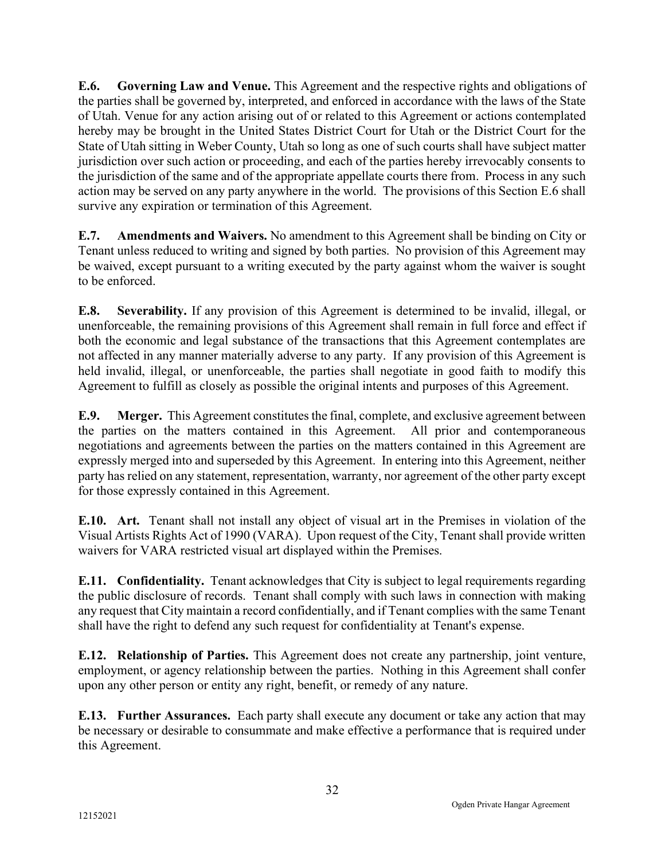E.6. Governing Law and Venue. This Agreement and the respective rights and obligations of the parties shall be governed by, interpreted, and enforced in accordance with the laws of the State of Utah. Venue for any action arising out of or related to this Agreement or actions contemplated hereby may be brought in the United States District Court for Utah or the District Court for the State of Utah sitting in Weber County, Utah so long as one of such courts shall have subject matter jurisdiction over such action or proceeding, and each of the parties hereby irrevocably consents to the jurisdiction of the same and of the appropriate appellate courts there from. Process in any such action may be served on any party anywhere in the world. The provisions of this Section E.6 shall survive any expiration or termination of this Agreement.

E.7. Amendments and Waivers. No amendment to this Agreement shall be binding on City or Tenant unless reduced to writing and signed by both parties. No provision of this Agreement may be waived, except pursuant to a writing executed by the party against whom the waiver is sought to be enforced.

E.8. Severability. If any provision of this Agreement is determined to be invalid, illegal, or unenforceable, the remaining provisions of this Agreement shall remain in full force and effect if both the economic and legal substance of the transactions that this Agreement contemplates are not affected in any manner materially adverse to any party. If any provision of this Agreement is held invalid, illegal, or unenforceable, the parties shall negotiate in good faith to modify this Agreement to fulfill as closely as possible the original intents and purposes of this Agreement.

E.9. Merger. This Agreement constitutes the final, complete, and exclusive agreement between the parties on the matters contained in this Agreement. All prior and contemporaneous negotiations and agreements between the parties on the matters contained in this Agreement are expressly merged into and superseded by this Agreement. In entering into this Agreement, neither party has relied on any statement, representation, warranty, nor agreement of the other party except for those expressly contained in this Agreement.

E.10. Art. Tenant shall not install any object of visual art in the Premises in violation of the Visual Artists Rights Act of 1990 (VARA). Upon request of the City, Tenant shall provide written waivers for VARA restricted visual art displayed within the Premises.

E.11. Confidentiality. Tenant acknowledges that City is subject to legal requirements regarding the public disclosure of records. Tenant shall comply with such laws in connection with making any request that City maintain a record confidentially, and if Tenant complies with the same Tenant shall have the right to defend any such request for confidentiality at Tenant's expense.

E.12. Relationship of Parties. This Agreement does not create any partnership, joint venture, employment, or agency relationship between the parties. Nothing in this Agreement shall confer upon any other person or entity any right, benefit, or remedy of any nature.

E.13. Further Assurances. Each party shall execute any document or take any action that may be necessary or desirable to consummate and make effective a performance that is required under this Agreement.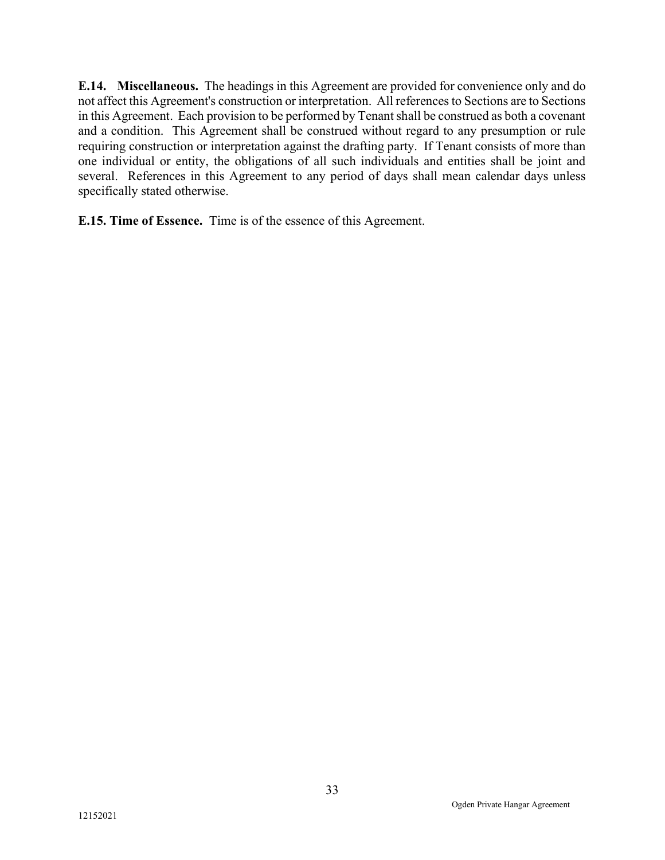E.14. Miscellaneous. The headings in this Agreement are provided for convenience only and do not affect this Agreement's construction or interpretation. All references to Sections are to Sections in this Agreement. Each provision to be performed by Tenant shall be construed as both a covenant and a condition. This Agreement shall be construed without regard to any presumption or rule requiring construction or interpretation against the drafting party. If Tenant consists of more than one individual or entity, the obligations of all such individuals and entities shall be joint and several. References in this Agreement to any period of days shall mean calendar days unless specifically stated otherwise.

E.15. Time of Essence. Time is of the essence of this Agreement.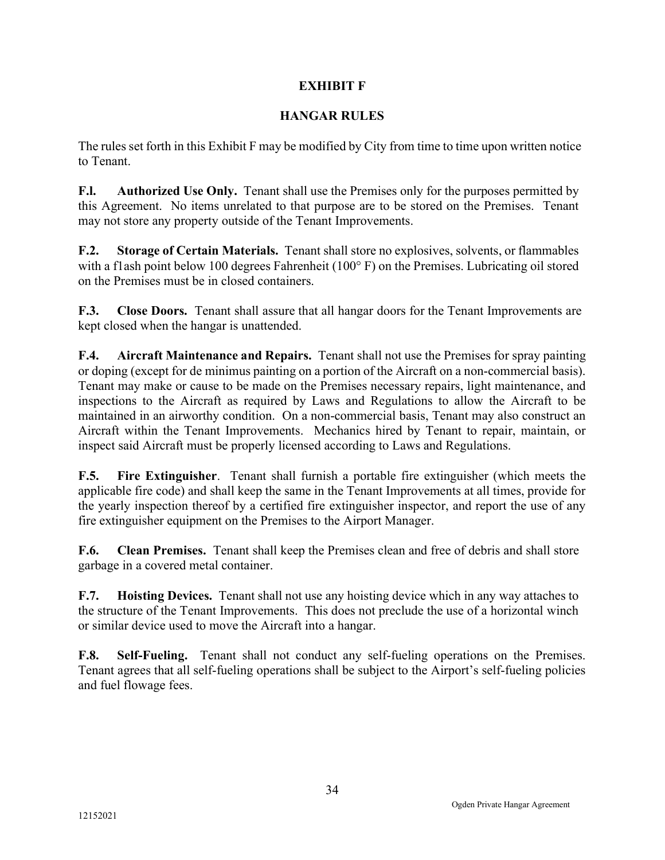## EXHIBIT F

## HANGAR RULES

The rules set forth in this Exhibit F may be modified by City from time to time upon written notice to Tenant.

F.I. Authorized Use Only. Tenant shall use the Premises only for the purposes permitted by this Agreement. No items unrelated to that purpose are to be stored on the Premises. Tenant may not store any property outside of the Tenant Improvements.

F.2. Storage of Certain Materials. Tenant shall store no explosives, solvents, or flammables with a flash point below 100 degrees Fahrenheit (100°F) on the Premises. Lubricating oil stored on the Premises must be in closed containers.

F.3. Close Doors. Tenant shall assure that all hangar doors for the Tenant Improvements are kept closed when the hangar is unattended.

F.4. Aircraft Maintenance and Repairs. Tenant shall not use the Premises for spray painting or doping (except for de minimus painting on a portion of the Aircraft on a non-commercial basis). Tenant may make or cause to be made on the Premises necessary repairs, light maintenance, and inspections to the Aircraft as required by Laws and Regulations to allow the Aircraft to be maintained in an airworthy condition. On a non-commercial basis, Tenant may also construct an Aircraft within the Tenant Improvements. Mechanics hired by Tenant to repair, maintain, or inspect said Aircraft must be properly licensed according to Laws and Regulations.

F.5. Fire Extinguisher. Tenant shall furnish a portable fire extinguisher (which meets the applicable fire code) and shall keep the same in the Tenant Improvements at all times, provide for the yearly inspection thereof by a certified fire extinguisher inspector, and report the use of any fire extinguisher equipment on the Premises to the Airport Manager.

F.6. Clean Premises. Tenant shall keep the Premises clean and free of debris and shall store garbage in a covered metal container.

F.7. Hoisting Devices. Tenant shall not use any hoisting device which in any way attaches to the structure of the Tenant Improvements. This does not preclude the use of a horizontal winch or similar device used to move the Aircraft into a hangar.

F.8. Self-Fueling. Tenant shall not conduct any self-fueling operations on the Premises. Tenant agrees that all self-fueling operations shall be subject to the Airport's self-fueling policies and fuel flowage fees.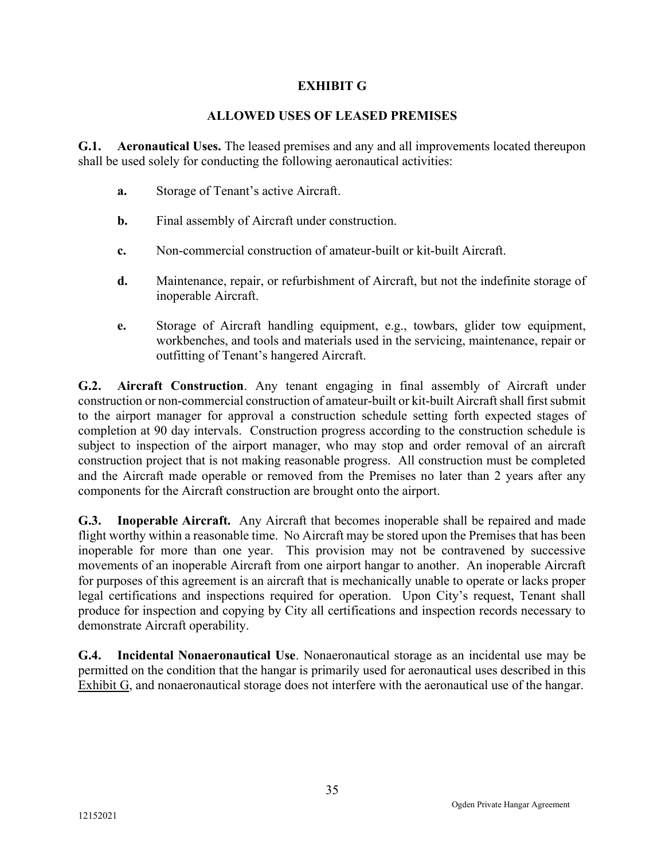## EXHIBIT G

## ALLOWED USES OF LEASED PREMISES

G.1. Aeronautical Uses. The leased premises and any and all improvements located thereupon shall be used solely for conducting the following aeronautical activities:

- a. Storage of Tenant's active Aircraft.
- b. Final assembly of Aircraft under construction.
- c. Non-commercial construction of amateur-built or kit-built Aircraft.
- d. Maintenance, repair, or refurbishment of Aircraft, but not the indefinite storage of inoperable Aircraft.
- e. Storage of Aircraft handling equipment, e.g., towbars, glider tow equipment, workbenches, and tools and materials used in the servicing, maintenance, repair or outfitting of Tenant's hangered Aircraft.

G.2. Aircraft Construction. Any tenant engaging in final assembly of Aircraft under construction or non-commercial construction of amateur-built or kit-built Aircraft shall first submit to the airport manager for approval a construction schedule setting forth expected stages of completion at 90 day intervals. Construction progress according to the construction schedule is subject to inspection of the airport manager, who may stop and order removal of an aircraft construction project that is not making reasonable progress. All construction must be completed and the Aircraft made operable or removed from the Premises no later than 2 years after any components for the Aircraft construction are brought onto the airport.

G.3. Inoperable Aircraft. Any Aircraft that becomes inoperable shall be repaired and made flight worthy within a reasonable time. No Aircraft may be stored upon the Premises that has been inoperable for more than one year. This provision may not be contravened by successive movements of an inoperable Aircraft from one airport hangar to another. An inoperable Aircraft for purposes of this agreement is an aircraft that is mechanically unable to operate or lacks proper legal certifications and inspections required for operation. Upon City's request, Tenant shall produce for inspection and copying by City all certifications and inspection records necessary to demonstrate Aircraft operability.

G.4. Incidental Nonaeronautical Use. Nonaeronautical storage as an incidental use may be permitted on the condition that the hangar is primarily used for aeronautical uses described in this Exhibit G, and nonaeronautical storage does not interfere with the aeronautical use of the hangar.